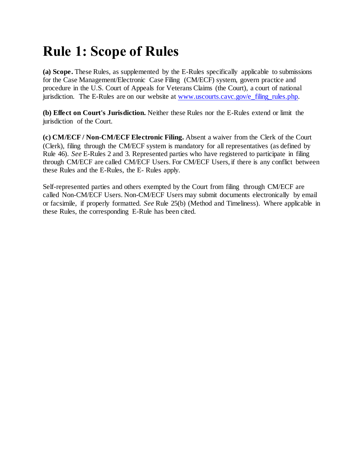# **Rule 1: Scope of Rules**

**(a) Scope.** These Rules, as supplemented by the E-Rules specifically applicable to submissions for the Case Management/Electronic Case Filing (CM/ECF) system, govern practice and procedure in the U.S. Court of Appeals for Veterans Claims (the Court), a court of national jurisdiction. The E-Rules are on our website at [www.uscourts.cavc.gov/e\\_filing\\_rules.php.](http://www.uscourts.cavc.gov/e_filing_rules.php)

**(b) Effect on Court's Jurisdiction.** Neither these Rules nor the E-Rules extend or limit the jurisdiction of the Court.

**(c) CM/ECF / Non-CM/ECF Electronic Filing.** Absent a waiver from the Clerk of the Court (Clerk), filing through the CM/ECF system is mandatory for all representatives (as defined by Rule 46). *See* E-Rules 2 and 3. Represented parties who have registered to participate in filing through CM/ECF are called CM/ECF Users. For CM/ECF Users, if there is any conflict between these Rules and the E-Rules, the E- Rules apply.

Self-represented parties and others exempted by the Court from filing through CM/ECF are called Non-CM/ECF Users. Non-CM/ECF Users may submit documents electronically by email or facsimile, if properly formatted. *See* Rule 25(b) (Method and Timeliness). Where applicable in these Rules, the corresponding E-Rule has been cited.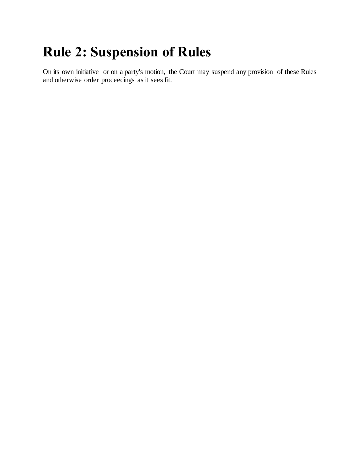# **Rule 2: Suspension of Rules**

On its own initiative or on a party's motion, the Court may suspend any provision of these Rules and otherwise order proceedings as it sees fit.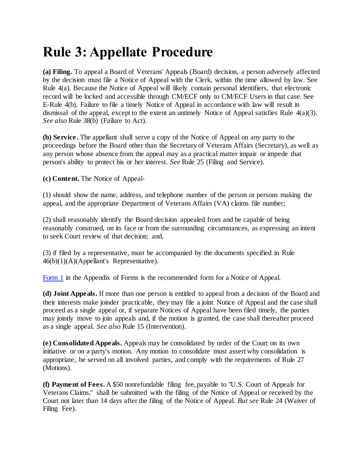# **Rule 3: Appellate Procedure**

**(a) Filing.** To appeal a Board of Veterans' Appeals (Board) decision, a person adversely affected by the decision must file a Notice of Appeal with the Clerk, within the time allowed by law. See Rule 4(a). Because the Notice of Appeal will likely contain personal identifiers, that electronic record will be locked and accessible through CM/ECF only to CM/ECF Users in that case. See E-Rule 4(b). Failure to file a timely Notice of Appeal in accordance with law will result in dismissal of the appeal, except to the extent an untimely Notice of Appeal satisfies Rule 4(a)(3). *See also* Rule 38(b) (Failure to Act).

**(b) Service.** The appellant shall serve a copy of the Notice of Appeal on any party to the proceedings before the Board other than the Secretary of Veterans Affairs (Secretary), as well as any person whose absence from the appeal may as a practical matter impair or impede that person's ability to protect his or her interest. *See* Rule 25 (Filing and Service).

**(c) Content.** The Notice of Appeal-

(1) should show the name, address, and telephone number of the person or persons making the appeal, and the appropriate Department of Veterans Affairs (VA) claims file number;

(2) shall reasonably identify the Board decision appealed from and be capable of being reasonably construed, on its face or from the surrounding circumstances, as expressing an intent to seek Court review of that decision; and,

(3) if filed by a representative, must be accompanied by the documents specified in Rule 46(b)(1)(A)(Appellant's Representative).

[Form 1](http://www.uscourts.cavc.gov/documents/Rules_of_Practice_and_Procedure_effective_Sept_15_2011_-_Form_1.pdf) in the Appendix of Forms is the recommended form for a Notice of Appeal.

**(d) Joint Appeals.** If more than one person is entitled to appeal from a decision of the Board and their interests make joinder practicable, they may file a joint Notice of Appeal and the case shall proceed as a single appeal or, if separate Notices of Appeal have been filed timely, the parties may jointly move to join appeals and, if the motion is granted, the case shall thereafter proceed as a single appeal. *See also* Rule 15 (Intervention).

**(e) Consolidated Appeals.** Appeals may be consolidated by order of the Court on its own initiative or on a party's motion. Any motion to consolidate must assert why consolidation is appropriate, be served on all involved parties, and comply with the requirements of Rule 27 (Motions).

**(f) Payment of Fees.** A \$50 nonrefundable filing fee, payable to "U.S. Court of Appeals for Veterans Claims," shall be submitted with the filing of the Notice of Appeal or received by the Court not later than 14 days after the filing of the Notice of Appeal. *But see* Rule 24 (Waiver of Filing Fee).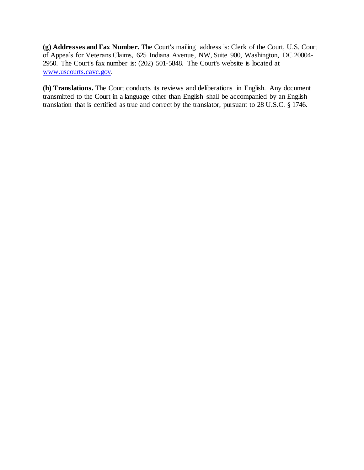**(g) Addresses and Fax Number.** The Court's mailing address is: Clerk of the Court, U.S. Court of Appeals for Veterans Claims, 625 Indiana Avenue, NW, Suite 900, Washington, DC 20004- 2950. The Court's fax number is: (202) 501-5848. The Court's website is located at [www.uscourts.cavc.gov.](http://www.uscourts.cavc.gov/)

**(h) Translations.** The Court conducts its reviews and deliberations in English. Any document transmitted to the Court in a language other than English shall be accompanied by an English translation that is certified as true and correct by the translator, pursuant to 28 U.S.C. § 1746.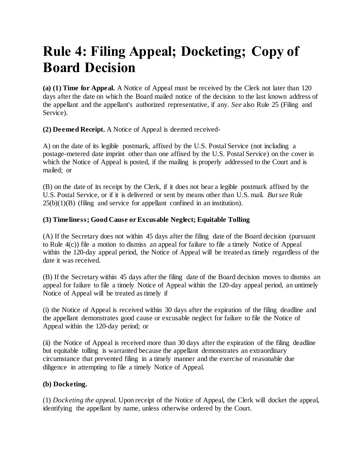## **Rule 4: Filing Appeal; Docketing; Copy of Board Decision**

**(a) (1) Time for Appeal.** A Notice of Appeal must be received by the Clerk not later than 120 days after the date on which the Board mailed notice of the decision to the last known address of the appellant and the appellant's authorized representative, if any. *See* also Rule 25 (Filing and Service).

**(2) Deemed Receipt.** A Notice of Appeal is deemed received-

A) on the date of its legible postmark, affixed by the U.S. Postal Service (not including a postage-metered date imprint other than one affixed by the U.S. Postal Service) on the cover in which the Notice of Appeal is posted, if the mailing is properly addressed to the Court and is mailed; or

(B) on the date of its receipt by the Clerk, if it does not bear a legible postmark affixed by the U.S. Postal Service, or if it is delivered or sent by means other than U.S. mail. *But see* Rule  $25(b)(1)(B)$  (filing and service for appellant confined in an institution).

### **(3) Timeliness; Good Cause or Excusable Neglect; Equitable Tolling**

(A) If the Secretary does not within 45 days after the filing date of the Board decision (pursuant to Rule  $4(c)$ ) file a motion to dismiss an appeal for failure to file a timely Notice of Appeal within the 120-day appeal period, the Notice of Appeal will be treated as timely regardless of the date it was received.

(B) If the Secretary within 45 days after the filing date of the Board decision moves to dismiss an appeal for failure to file a timely Notice of Appeal within the 120-day appeal period, an untimely Notice of Appeal will be treated as timely if

(i) the Notice of Appeal is received within 30 days after the expiration of the filing deadline and the appellant demonstrates good cause or excusable neglect for failure to file the Notice of Appeal within the 120-day period; or

(ii) the Notice of Appeal is received more than 30 days after the expiration of the filing deadline but equitable tolling is warranted because the appellant demonstrates an extraordinary circumstance that prevented filing in a timely manner and the exercise of reasonable due diligence in attempting to file a timely Notice of Appeal.

### **(b) Docketing.**

(1) *Docketing the appeal.* Upon receipt of the Notice of Appeal, the Clerk will docket the appeal, identifying the appellant by name, unless otherwise ordered by the Court.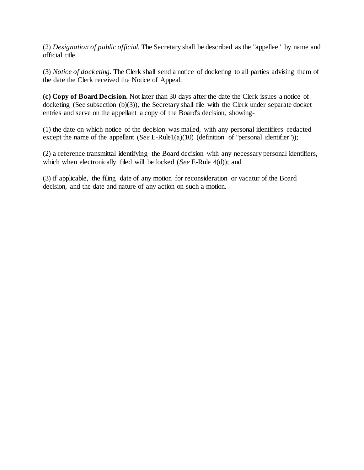(2) *Designation of public official.* The Secretary shall be described as the "appellee" by name and official title.

(3) *Notice of docketing.* The Clerk shall send a notice of docketing to all parties advising them of the date the Clerk received the Notice of Appeal.

**(c) Copy of Board Decision.** Not later than 30 days after the date the Clerk issues a notice of docketing (See subsection (b)(3)), the Secretary shall file with the Clerk under separate docket entries and serve on the appellant a copy of the Board's decision, showing-

(1) the date on which notice of the decision was mailed, with any personal identifiers redacted except the name of the appellant (*See* E-Rule1(a)(10) (definition of "personal identifier"));

(2) a reference transmittal identifying the Board decision with any necessary personal identifiers, which when electronically filed will be locked (*See* E-Rule 4(d)); and

(3) if applicable, the filing date of any motion for reconsideration or vacatur of the Board decision, and the date and nature of any action on such a motion.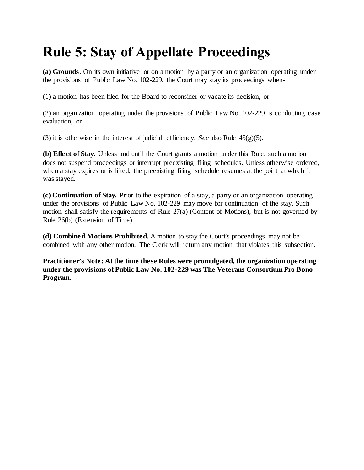# **Rule 5: Stay of Appellate Proceedings**

**(a) Grounds.** On its own initiative or on a motion by a party or an organization operating under the provisions of Public Law No. 102-229, the Court may stay its proceedings when-

(1) a motion has been filed for the Board to reconsider or vacate its decision, or

(2) an organization operating under the provisions of Public Law No. 102-229 is conducting case evaluation, or

(3) it is otherwise in the interest of judicial efficiency. *See* also Rule 45(g)(5).

**(b) Effect of Stay.** Unless and until the Court grants a motion under this Rule, such a motion does not suspend proceedings or interrupt preexisting filing schedules. Unless otherwise ordered, when a stay expires or is lifted, the preexisting filing schedule resumes at the point at which it was stayed.

**(c) Continuation of Stay.** Prior to the expiration of a stay, a party or an organization operating under the provisions of Public Law No. 102-229 may move for continuation of the stay. Such motion shall satisfy the requirements of Rule 27(a) (Content of Motions), but is not governed by Rule 26(b) (Extension of Time).

**(d) Combined Motions Prohibited.** A motion to stay the Court's proceedings may not be combined with any other motion. The Clerk will return any motion that violates this subsection.

**Practitioner's Note: At the time these Rules were promulgated, the organization operating under the provisions of Public Law No. 102-229 was The Veterans Consortium Pro Bono Program.**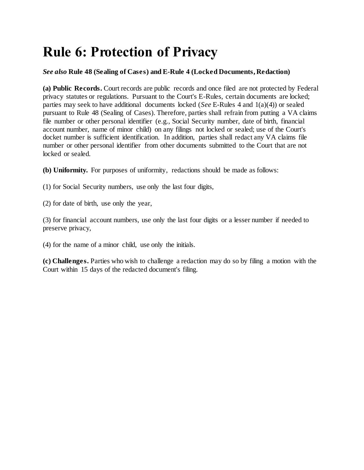# **Rule 6: Protection of Privacy**

#### *See also* **Rule 48 (Sealing of Cases) and E-Rule 4 (Locked Documents, Redaction)**

**(a) Public Records.** Court records are public records and once filed are not protected by Federal privacy statutes or regulations. Pursuant to the Court's E-Rules, certain documents are locked; parties may seek to have additional documents locked (*See* E-Rules 4 and 1(a)(4)) or sealed pursuant to Rule 48 (Sealing of Cases). Therefore, parties shall refrain from putting a VA claims file number or other personal identifier (e.g., Social Security number, date of birth, financial account number, name of minor child) on any filings not locked or sealed; use of the Court's docket number is sufficient identification. In addition, parties shall redact any VA claims file number or other personal identifier from other documents submitted to the Court that are not locked or sealed.

**(b) Uniformity.** For purposes of uniformity, redactions should be made as follows:

- (1) for Social Security numbers, use only the last four digits,
- (2) for date of birth, use only the year,

(3) for financial account numbers, use only the last four digits or a lesser number if needed to preserve privacy,

(4) for the name of a minor child, use only the initials.

**(c) Challenges.** Parties who wish to challenge a redaction may do so by filing a motion with the Court within 15 days of the redacted document's filing.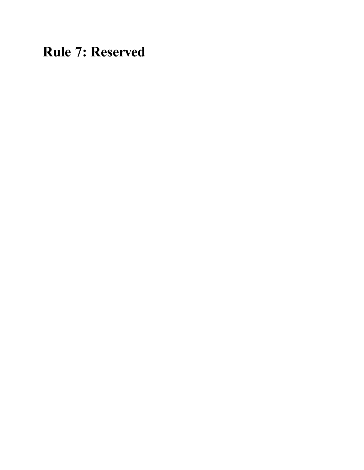**Rule 7: Reserved**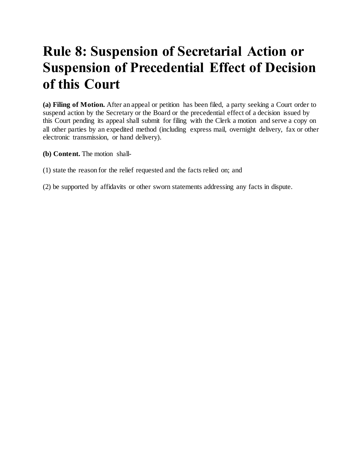## **Rule 8: Suspension of Secretarial Action or Suspension of Precedential Effect of Decision of this Court**

**(a) Filing of Motion.** After an appeal or petition has been filed, a party seeking a Court order to suspend action by the Secretary or the Board or the precedential effect of a decision issued by this Court pending its appeal shall submit for filing with the Clerk a motion and serve a copy on all other parties by an expedited method (including express mail, overnight delivery, fax or other electronic transmission, or hand delivery).

- **(b) Content.** The motion shall-
- (1) state the reason for the relief requested and the facts relied on; and
- (2) be supported by affidavits or other sworn statements addressing any facts in dispute.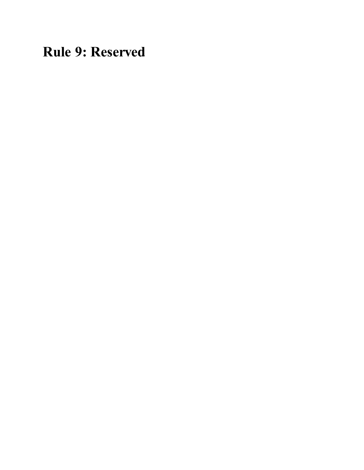**Rule 9: Reserved**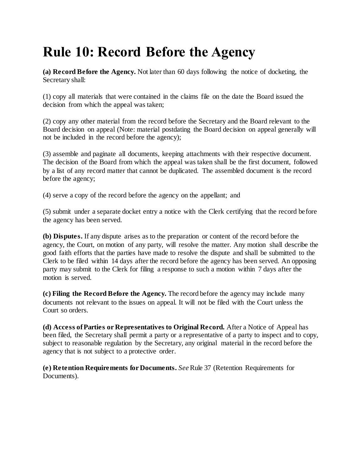# **Rule 10: Record Before the Agency**

**(a) Record Before the Agency.** Not later than 60 days following the notice of docketing, the Secretary shall:

(1) copy all materials that were contained in the claims file on the date the Board issued the decision from which the appeal was taken;

(2) copy any other material from the record before the Secretary and the Board relevant to the Board decision on appeal (Note: material postdating the Board decision on appeal generally will not be included in the record before the agency);

(3) assemble and paginate all documents, keeping attachments with their respective document. The decision of the Board from which the appeal was taken shall be the first document, followed by a list of any record matter that cannot be duplicated. The assembled document is the record before the agency;

(4) serve a copy of the record before the agency on the appellant; and

(5) submit under a separate docket entry a notice with the Clerk certifying that the record before the agency has been served.

**(b) Disputes.** If any dispute arises as to the preparation or content of the record before the agency, the Court, on motion of any party, will resolve the matter. Any motion shall describe the good faith efforts that the parties have made to resolve the dispute and shall be submitted to the Clerk to be filed within 14 days after the record before the agency has been served. An opposing party may submit to the Clerk for filing a response to such a motion within 7 days after the motion is served.

**(c) Filing the Record Before the Agency.** The record before the agency may include many documents not relevant to the issues on appeal. It will not be filed with the Court unless the Court so orders.

**(d) Access of Parties or Representatives to Original Record.** After a Notice of Appeal has been filed, the Secretary shall permit a party or a representative of a party to inspect and to copy, subject to reasonable regulation by the Secretary, any original material in the record before the agency that is not subject to a protective order.

**(e) Retention Requirements for Documents.** *See*Rule 37 (Retention Requirements for Documents).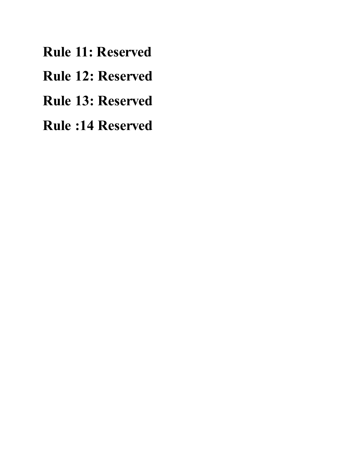**Rule 11: Reserved**

**Rule 12: Reserved**

**Rule 13: Reserved**

**Rule :14 Reserved**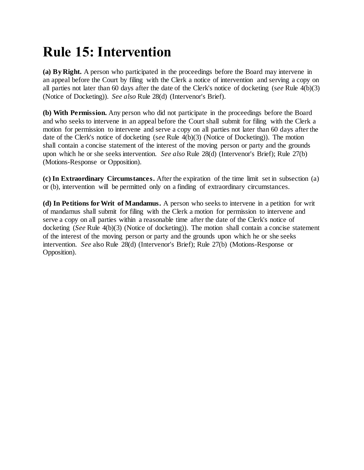## **Rule 15: Intervention**

**(a) By Right.** A person who participated in the proceedings before the Board may intervene in an appeal before the Court by filing with the Clerk a notice of intervention and serving a copy on all parties not later than 60 days after the date of the Clerk's notice of docketing (s*ee* Rule 4(b)(3) (Notice of Docketing)). *See also* Rule 28(d) (Intervenor's Brief).

**(b) With Permission.** Any person who did not participate in the proceedings before the Board and who seeks to intervene in an appeal before the Court shall submit for filing with the Clerk a motion for permission to intervene and serve a copy on all parties not later than 60 days after the date of the Clerk's notice of docketing (s*ee* Rule 4(b)(3) (Notice of Docketing)). The motion shall contain a concise statement of the interest of the moving person or party and the grounds upon which he or she seeks intervention. *See also* Rule 28(d) (Intervenor's Brief); Rule 27(b) (Motions-Response or Opposition).

**(c) In Extraordinary Circumstances.** After the expiration of the time limit set in subsection (a) or (b), intervention will be permitted only on a finding of extraordinary circumstances.

**(d) In Petitions for Writ of Mandamus.** A person who seeks to intervene in a petition for writ of mandamus shall submit for filing with the Clerk a motion for permission to intervene and serve a copy on all parties within a reasonable time after the date of the Clerk's notice of docketing (*See* Rule 4(b)(3) (Notice of docketing)). The motion shall contain a concise statement of the interest of the moving person or party and the grounds upon which he or she seeks intervention. *See* also Rule 28(d) (Intervenor's Brief); Rule 27(b) (Motions-Response or Opposition).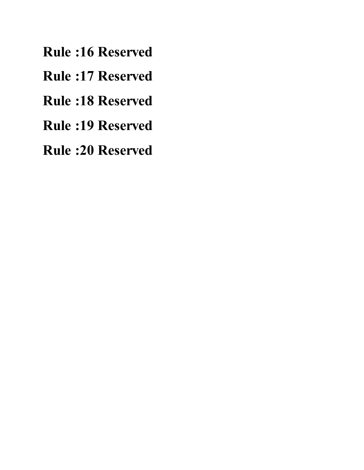- **Rule :16 Reserved**
- **Rule :17 Reserved**
- **Rule :18 Reserved**
- **Rule :19 Reserved**
- **Rule :20 Reserved**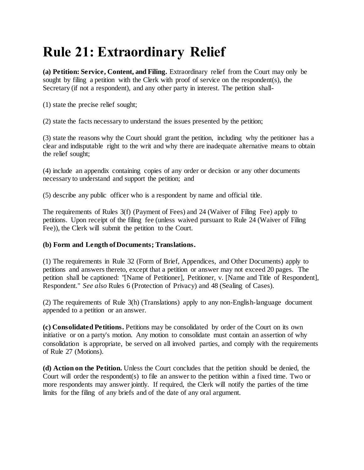# **Rule 21: Extraordinary Relief**

**(a) Petition: Service, Content, and Filing.** Extraordinary relief from the Court may only be sought by filing a petition with the Clerk with proof of service on the respondent(s), the Secretary (if not a respondent), and any other party in interest. The petition shall-

(1) state the precise relief sought;

(2) state the facts necessary to understand the issues presented by the petition;

(3) state the reasons why the Court should grant the petition, including why the petitioner has a clear and indisputable right to the writ and why there are inadequate alternative means to obtain the relief sought;

(4) include an appendix containing copies of any order or decision or any other documents necessary to understand and support the petition; and

(5) describe any public officer who is a respondent by name and official title.

The requirements of Rules 3(f) (Payment of Fees) and 24 (Waiver of Filing Fee) apply to petitions. Upon receipt of the filing fee (unless waived pursuant to Rule 24 (Waiver of Filing Fee)), the Clerk will submit the petition to the Court.

#### **(b) Form and Length of Documents; Translations.**

(1) The requirements in Rule 32 (Form of Brief, Appendices, and Other Documents) apply to petitions and answers thereto, except that a petition or answer may not exceed 20 pages. The petition shall be captioned: "[Name of Petitioner], Petitioner, v. [Name and Title of Respondent], Respondent." *See also* Rules 6 (Protection of Privacy) and 48 (Sealing of Cases).

(2) The requirements of Rule 3(h) (Translations) apply to any non-English-language document appended to a petition or an answer.

**(c) Consolidated Petitions.** Petitions may be consolidated by order of the Court on its own initiative or on a party's motion. Any motion to consolidate must contain an assertion of why consolidation is appropriate, be served on all involved parties, and comply with the requirements of Rule 27 (Motions).

**(d) Action on the Petition.** Unless the Court concludes that the petition should be denied, the Court will order the respondent(s) to file an answer to the petition within a fixed time. Two or more respondents may answer jointly. If required, the Clerk will notify the parties of the time limits for the filing of any briefs and of the date of any oral argument.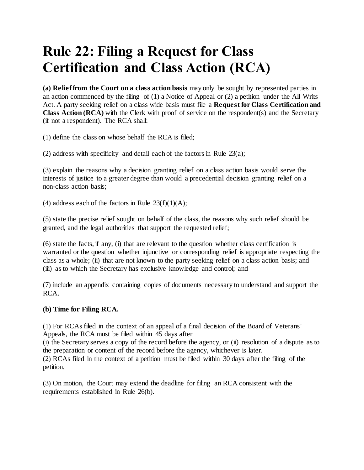## **Rule 22: Filing a Request for Class Certification and Class Action (RCA)**

**(a) Relief from the Court on a class action basis** may only be sought by represented parties in an action commenced by the filing of (1) a Notice of Appeal or (2) a petition under the All Writs Act. A party seeking relief on a class wide basis must file a **Request for Class Certification and Class Action (RCA)** with the Clerk with proof of service on the respondent(s) and the Secretary (if not a respondent). The RCA shall:

(1) define the class on whose behalf the RCA is filed;

(2) address with specificity and detail each of the factors in Rule 23(a);

(3) explain the reasons why a decision granting relief on a class action basis would serve the interests of justice to a greater degree than would a precedential decision granting relief on a non-class action basis;

(4) address each of the factors in Rule  $23(f)(1)(A)$ ;

(5) state the precise relief sought on behalf of the class, the reasons why such relief should be granted, and the legal authorities that support the requested relief;

(6) state the facts, if any, (i) that are relevant to the question whether class certification is warranted or the question whether injunctive or corresponding relief is appropriate respecting the class as a whole; (ii) that are not known to the party seeking relief on a class action basis; and (iii) as to which the Secretary has exclusive knowledge and control; and

(7) include an appendix containing copies of documents necessary to understand and support the RCA.

### **(b) Time for Filing RCA.**

(1) For RCAs filed in the context of an appeal of a final decision of the Board of Veterans' Appeals, the RCA must be filed within 45 days after

(i) the Secretary serves a copy of the record before the agency, or (ii) resolution of a dispute as to the preparation or content of the record before the agency, whichever is later.

(2) RCAs filed in the context of a petition must be filed within 30 days after the filing of the petition.

(3) On motion, the Court may extend the deadline for filing an RCA consistent with the requirements established in Rule 26(b).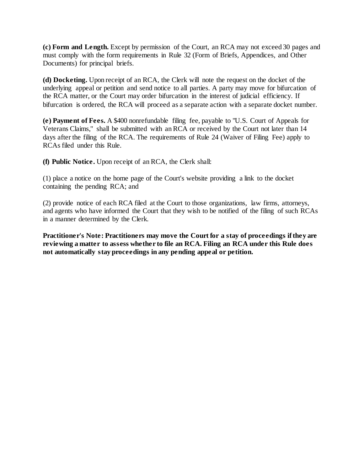**(c) Form and Length.** Except by permission of the Court, an RCA may not exceed 30 pages and must comply with the form requirements in Rule 32 (Form of Briefs, Appendices, and Other Documents) for principal briefs.

**(d) Docketing.** Upon receipt of an RCA, the Clerk will note the request on the docket of the underlying appeal or petition and send notice to all parties. A party may move for bifurcation of the RCA matter, or the Court may order bifurcation in the interest of judicial efficiency. If bifurcation is ordered, the RCA will proceed as a separate action with a separate docket number.

**(e) Payment of Fees.** A \$400 nonrefundable filing fee, payable to "U.S. Court of Appeals for Veterans Claims," shall be submitted with an RCA or received by the Court not later than 14 days after the filing of the RCA. The requirements of Rule 24 (Waiver of Filing Fee) apply to RCAs filed under this Rule.

**(f) Public Notice.** Upon receipt of an RCA, the Clerk shall:

(1) place a notice on the home page of the Court's website providing a link to the docket containing the pending RCA; and

(2) provide notice of each RCA filed at the Court to those organizations, law firms, attorneys, and agents who have informed the Court that they wish to be notified of the filing of such RCAs in a manner determined by the Clerk.

**Practitioner's Note: Practitioners may move the Court for a stay of proceedings if they are reviewing a matter to assess whether to file an RCA. Filing an RCA under this Rule does not automatically stay proceedings in any pending appeal or petition.**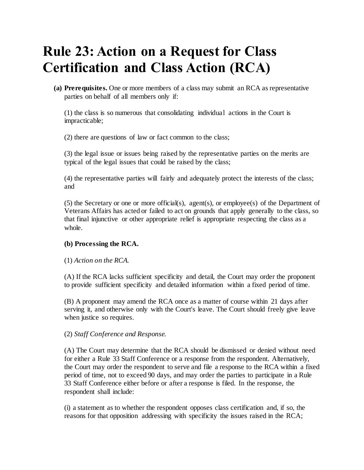## **Rule 23: Action on a Request for Class Certification and Class Action (RCA)**

**(a) Prerequisites.** One or more members of a class may submit an RCA as representative parties on behalf of all members only if:

(1) the class is so numerous that consolidating individual actions in the Court is impracticable;

(2) there are questions of law or fact common to the class;

(3) the legal issue or issues being raised by the representative parties on the merits are typical of the legal issues that could be raised by the class;

(4) the representative parties will fairly and adequately protect the interests of the class; and

(5) the Secretary or one or more official(s), agent(s), or employee(s) of the Department of Veterans Affairs has acted or failed to act on grounds that apply generally to the class, so that final injunctive or other appropriate relief is appropriate respecting the class as a whole.

#### **(b) Processing the RCA.**

#### (1) *Action on the RCA.*

(A) If the RCA lacks sufficient specificity and detail, the Court may order the proponent to provide sufficient specificity and detailed information within a fixed period of time.

(B) A proponent may amend the RCA once as a matter of course within 21 days after serving it, and otherwise only with the Court's leave. The Court should freely give leave when justice so requires.

#### (2) *Staff Conference and Response.*

(A) The Court may determine that the RCA should be dismissed or denied without need for either a Rule 33 Staff Conference or a response from the respondent. Alternatively, the Court may order the respondent to serve and file a response to the RCA within a fixed period of time, not to exceed 90 days, and may order the parties to participate in a Rule 33 Staff Conference either before or after a response is filed. In the response, the respondent shall include:

(i) a statement as to whether the respondent opposes class certification and, if so, the reasons for that opposition addressing with specificity the issues raised in the RCA;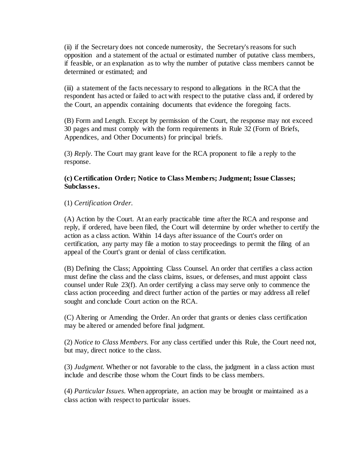(ii) if the Secretary does not concede numerosity, the Secretary's reasons for such opposition and a statement of the actual or estimated number of putative class members, if feasible, or an explanation as to why the number of putative class members cannot be determined or estimated; and

(iii) a statement of the facts necessary to respond to allegations in the RCA that the respondent has acted or failed to act with respect to the putative class and, if ordered by the Court, an appendix containing documents that evidence the foregoing facts.

(B) Form and Length. Except by permission of the Court, the response may not exceed 30 pages and must comply with the form requirements in Rule 32 (Form of Briefs, Appendices, and Other Documents) for principal briefs.

(3) *Reply.* The Court may grant leave for the RCA proponent to file a reply to the response.

#### **(c) Certification Order; Notice to Class Members; Judgment; Issue Classes; Subclasses.**

#### (1) *Certification Order.*

(A) Action by the Court. At an early practicable time after the RCA and response and reply, if ordered, have been filed, the Court will determine by order whether to certify the action as a class action. Within 14 days after issuance of the Court's order on certification, any party may file a motion to stay proceedings to permit the filing of an appeal of the Court's grant or denial of class certification.

(B) Defining the Class; Appointing Class Counsel. An order that certifies a class action must define the class and the class claims, issues, or defenses, and must appoint class counsel under Rule 23(f). An order certifying a class may serve only to commence the class action proceeding and direct further action of the parties or may address all relief sought and conclude Court action on the RCA.

(C) Altering or Amending the Order. An order that grants or denies class certification may be altered or amended before final judgment.

(2) *Notice to Class Members.* For any class certified under this Rule, the Court need not, but may, direct notice to the class.

(3) *Judgment.* Whether or not favorable to the class, the judgment in a class action must include and describe those whom the Court finds to be class members.

(4) *Particular Issues.* When appropriate, an action may be brought or maintained as a class action with respect to particular issues.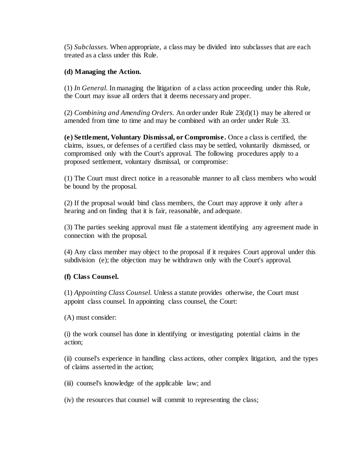(5) *Subclasses.* When appropriate, a class may be divided into subclasses that are each treated as a class under this Rule.

#### **(d) Managing the Action.**

(1) *In General.* In managing the litigation of a class action proceeding under this Rule, the Court may issue all orders that it deems necessary and proper.

(2) *Combining and Amending Orders.* An order under Rule 23(d)(1) may be altered or amended from time to time and may be combined with an order under Rule 33.

**(e) Settlement, Voluntary Dismissal, or Compromise.** Once a class is certified, the claims, issues, or defenses of a certified class may be settled, voluntarily dismissed, or compromised only with the Court's approval. The following procedures apply to a proposed settlement, voluntary dismissal, or compromise:

(1) The Court must direct notice in a reasonable manner to all class members who would be bound by the proposal.

(2) If the proposal would bind class members, the Court may approve it only after a hearing and on finding that it is fair, reasonable, and adequate.

(3) The parties seeking approval must file a statement identifying any agreement made in connection with the proposal.

(4) Any class member may object to the proposal if it requires Court approval under this subdivision (e); the objection may be withdrawn only with the Court's approval.

#### **(f) Class Counsel.**

(1) *Appointing Class Counsel.* Unless a statute provides otherwise, the Court must appoint class counsel. In appointing class counsel, the Court:

(A) must consider:

(i) the work counsel has done in identifying or investigating potential claims in the action;

(ii) counsel's experience in handling class actions, other complex litigation, and the types of claims asserted in the action;

(iii) counsel's knowledge of the applicable law; and

(iv) the resources that counsel will commit to representing the class;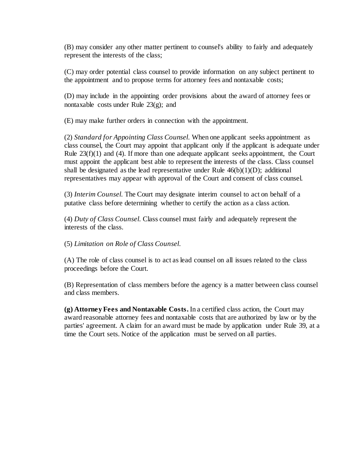(B) may consider any other matter pertinent to counsel's ability to fairly and adequately represent the interests of the class;

(C) may order potential class counsel to provide information on any subject pertinent to the appointment and to propose terms for attorney fees and nontaxable costs;

(D) may include in the appointing order provisions about the award of attorney fees or nontaxable costs under Rule 23(g); and

(E) may make further orders in connection with the appointment.

(2) *Standard for Appointing Class Counsel.* When one applicant seeks appointment as class counsel, the Court may appoint that applicant only if the applicant is adequate under Rule  $23(f)(1)$  and (4). If more than one adequate applicant seeks appointment, the Court must appoint the applicant best able to represent the interests of the class. Class counsel shall be designated as the lead representative under Rule  $46(b)(1)(D)$ ; additional representatives may appear with approval of the Court and consent of class counsel.

(3) *Interim Counsel.* The Court may designate interim counsel to act on behalf of a putative class before determining whether to certify the action as a class action.

(4) *Duty of Class Counsel.* Class counsel must fairly and adequately represent the interests of the class.

(5) *Limitation on Role of Class Counsel.*

(A) The role of class counsel is to act as lead counsel on all issues related to the class proceedings before the Court.

(B) Representation of class members before the agency is a matter between class counsel and class members.

**(g) Attorney Fees and Nontaxable Costs.** In a certified class action, the Court may award reasonable attorney fees and nontaxable costs that are authorized by law or by the parties' agreement. A claim for an award must be made by application under Rule 39, at a time the Court sets. Notice of the application must be served on all parties.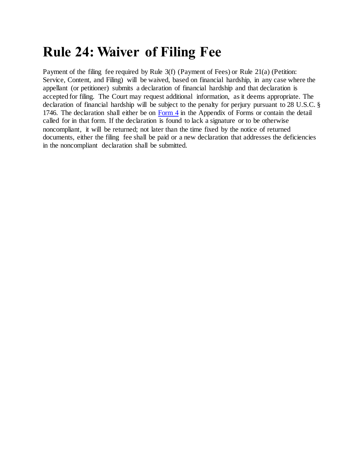### **Rule 24: Waiver of Filing Fee**

Payment of the filing fee required by Rule 3(f) (Payment of Fees) or Rule 21(a) (Petition: Service, Content, and Filing) will be waived, based on financial hardship, in any case where the appellant (or petitioner) submits a declaration of financial hardship and that declaration is accepted for filing. The Court may request additional information, as it deems appropriate. The declaration of financial hardship will be subject to the penalty for perjury pursuant to 28 U.S.C. § 1746. The declaration shall either be on [Form 4](http://www.uscourts.cavc.gov/forms_fees.php) in the Appendix of Forms or contain the detail called for in that form. If the declaration is found to lack a signature or to be otherwise noncompliant, it will be returned; not later than the time fixed by the notice of returned documents, either the filing fee shall be paid or a new declaration that addresses the deficiencies in the noncompliant declaration shall be submitted.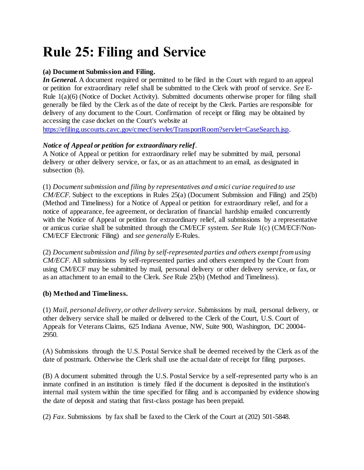# **Rule 25: Filing and Service**

### **(a) Document Submission and Filing.**

*In General.* A document required or permitted to be filed in the Court with regard to an appeal or petition for extraordinary relief shall be submitted to the Clerk with proof of service. *See* E-Rule 1(a)(6) (Notice of Docket Activity). Submitted documents otherwise proper for filing shall generally be filed by the Clerk as of the date of receipt by the Clerk. Parties are responsible for delivery of any document to the Court. Confirmation of receipt or filing may be obtained by accessing the case docket on the Court's website at

[https://efiling.uscourts.cavc.gov/cmecf/servlet/TransportRoom?servlet=CaseSearch.jsp.](https://efiling.uscourts.cavc.gov/cmecf/servlet/TransportRoom?servlet=CaseSearch.jsp)

### *Notice of Appeal or petition for extraordinary relief*.

A Notice of Appeal or petition for extraordinary relief may be submitted by mail, personal delivery or other delivery service, or fax, or as an attachment to an email, as designated in subsection (b).

(1) *Document submission and filing by representatives and amici curiae required to use CM/ECF.* Subject to the exceptions in Rules 25(a) (Document Submission and Filing) and 25(b) (Method and Timeliness) for a Notice of Appeal or petition for extraordinary relief, and for a notice of appearance, fee agreement, or declaration of financial hardship emailed concurrently with the Notice of Appeal or petition for extraordinary relief, all submissions by a representative or amicus curiae shall be submitted through the CM/ECF system. *See* Rule 1(c) (CM/ECF/Non-CM/ECF Electronic Filing) and *see generally* E-Rules.

(2) *Document submission and filing by self-represented parties and others exempt from using CM/ECF.* All submissions by self-represented parties and others exempted by the Court from using CM/ECF may be submitted by mail, personal delivery or other delivery service, or fax, or as an attachment to an email to the Clerk. *See* Rule 25(b) (Method and Timeliness).

### **(b) Method and Timeliness.**

(1) *Mail, personal delivery, or other delivery service*. Submissions by mail, personal delivery, or other delivery service shall be mailed or delivered to the Clerk of the Court, U.S. Court of Appeals for Veterans Claims, 625 Indiana Avenue, NW, Suite 900, Washington, DC 20004- 2950.

(A) Submissions through the U.S. Postal Service shall be deemed received by the Clerk as of the date of postmark. Otherwise the Clerk shall use the actual date of receipt for filing purposes.

(B) A document submitted through the U.S. Postal Service by a self-represented party who is an inmate confined in an institution is timely filed if the document is deposited in the institution's internal mail system within the time specified for filing and is accompanied by evidence showing the date of deposit and stating that first-class postage has been prepaid.

(2) *Fax*. Submissions by fax shall be faxed to the Clerk of the Court at (202) 501-5848.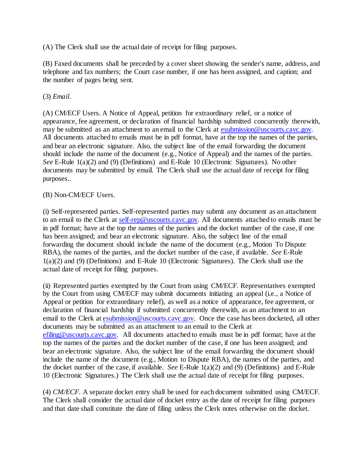(A) The Clerk shall use the actual date of receipt for filing purposes.

(B) Faxed documents shall be preceded by a cover sheet showing the sender's name, address, and telephone and fax numbers; the Court case number, if one has been assigned, and caption; and the number of pages being sent.

### (3) *Email*.

(A) CM/ECF Users. A Notice of Appeal, petition for extraordinary relief, or a notice of appearance, fee agreement, or declaration of financial hardship submitted concurrently therewith, may be submitted as an attachment to an email to the Clerk at [esubmission@uscourts.cavc.gov.](mailto:esubmission@uscourts.cavc.gov)  All documents attached to emails must be in pdf format, have at the top the names of the parties, and bear an electronic signature. Also, the subject line of the email forwarding the document should include the name of the document (e.g., Notice of Appeal) and the names of the parties. *See* E-Rule 1(a)(2) and (9) (Definitions) and E-Rule 10 (Electronic Signatures). No other documents may be submitted by email. The Clerk shall use the actual date of receipt for filing purposes..

### (B) Non-CM/ECF Users.

(i) Self-represented parties. Self-represented parties may submit any document as an attachment to an email to the Clerk at [self-rep@uscourts.cavc.gov.](mailto:self-rep@uscourts.cavc.gov) All documents attached to emails must be in pdf format; have at the top the names of the parties and the docket number of the case, if one has been assigned; and bear an electronic signature. Also, the subject line of the email forwarding the document should include the name of the document (e.g., Motion To Dispute RBA), the names of the parties, and the docket number of the case, if available. *See* E-Rule 1(a)(2) and (9) (Definitions) and E-Rule 10 (Electronic Signatures). The Clerk shall use the actual date of receipt for filing purposes.

(ii) Represented parties exempted by the Court from using CM/ECF. Representatives exempted by the Court from using CM/ECF may submit documents initiating an appeal (i.e., a Notice of Appeal or petition for extraordinary relief), as well as a notice of appearance, fee agreement, or declaration of financial hardship if submitted concurrently therewith, as an attachment to an email to the Clerk at [esubmission@uscourts.cavc.gov.](mailto:esubmission@uscourts.cavc.gov) Once the case has been docketed, all other documents may be submitted as an attachment to an email to the Clerk at [efiling@uscourts.cavc.gov.](mailto:esubmission@uscourts.cavc.gov) All documents attached to emails must be in pdf format; have at the top the names of the parties and the docket number of the case, if one has been assigned; and bear an electronic signature. Also, the subject line of the email forwarding the document should include the name of the document (e.g., Motion to Dispute RBA), the names of the parties, and the docket number of the case, if available. *See* E-Rule 1(a)(2) and (9) (Definitions) and E-Rule 10 (Electronic Signatures.) The Clerk shall use the actual date of receipt for filing purposes.

(4) *CM/ECF.* A separate docket entry shall be used for each document submitted using CM/ECF. The Clerk shall consider the actual date of docket entry as the date of receipt for filing purposes and that date shall constitute the date of filing unless the Clerk notes otherwise on the docket.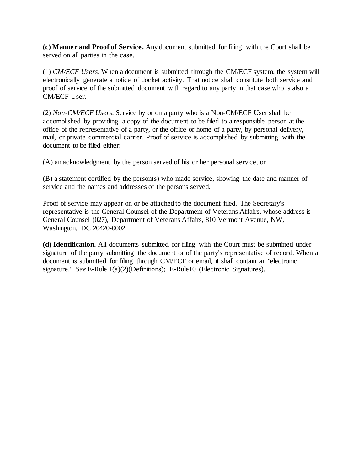**(c) Manner and Proof of Service.** Any document submitted for filing with the Court shall be served on all parties in the case.

(1) *CM/ECF Users.* When a document is submitted through the CM/ECF system, the system will electronically generate a notice of docket activity. That notice shall constitute both service and proof of service of the submitted document with regard to any party in that case who is also a CM/ECF User.

(2) *Non-CM/ECF Users.* Service by or on a party who is a Non-CM/ECF User shall be accomplished by providing a copy of the document to be filed to a responsible person at the office of the representative of a party, or the office or home of a party, by personal delivery, mail, or private commercial carrier. Proof of service is accomplished by submitting with the document to be filed either:

(A) an acknowledgment by the person served of his or her personal service, or

(B) a statement certified by the person(s) who made service, showing the date and manner of service and the names and addresses of the persons served.

Proof of service may appear on or be attached to the document filed. The Secretary's representative is the General Counsel of the Department of Veterans Affairs, whose address is General Counsel (027), Department of Veterans Affairs, 810 Vermont Avenue, NW, Washington, DC 20420-0002.

**(d) Identification.** All documents submitted for filing with the Court must be submitted under signature of the party submitting the document or of the party's representative of record. When a document is submitted for filing through CM/ECF or email, it shall contain an "electronic signature." *See* E-Rule 1(a)(2)(Definitions); E-Rule10 (Electronic Signatures).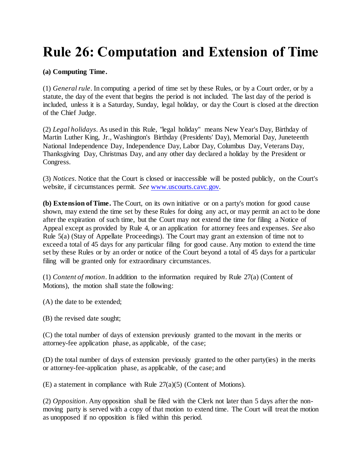# **Rule 26: Computation and Extension of Time**

### **(a) Computing Time.**

(1) *General rule*. In computing a period of time set by these Rules, or by a Court order, or by a statute, the day of the event that begins the period is not included. The last day of the period is included, unless it is a Saturday, Sunday, legal holiday, or day the Court is closed at the direction of the Chief Judge.

(2) *Legal holidays*. As used in this Rule, "legal holiday" means New Year's Day, Birthday of Martin Luther King, Jr., Washington's Birthday (Presidents' Day), Memorial Day, Juneteenth National Independence Day, Independence Day, Labor Day, Columbus Day, Veterans Day, Thanksgiving Day, Christmas Day, and any other day declared a holiday by the President or Congress.

(3) *Notices*. Notice that the Court is closed or inaccessible will be posted publicly, on the Court's website, if circumstances permit. *See* [www.uscourts.cavc.gov.](http://www.uscourts.cavc.gov/)

**(b) Extension of Time.** The Court, on its own initiative or on a party's motion for good cause shown, may extend the time set by these Rules for doing any act, or may permit an act to be done after the expiration of such time, but the Court may not extend the time for filing a Notice of Appeal except as provided by Rule 4, or an application for attorney fees and expenses. *See* also Rule 5(a) (Stay of Appellate Proceedings). The Court may grant an extension of time not to exceed a total of 45 days for any particular filing for good cause. Any motion to extend the time set by these Rules or by an order or notice of the Court beyond a total of 45 days for a particular filing will be granted only for extraordinary circumstances.

(1) *Content of motion*. In addition to the information required by Rule 27(a) (Content of Motions), the motion shall state the following:

(A) the date to be extended;

(B) the revised date sought;

(C) the total number of days of extension previously granted to the movant in the merits or attorney-fee application phase, as applicable, of the case;

(D) the total number of days of extension previously granted to the other party(ies) in the merits or attorney-fee-application phase, as applicable, of the case; and

(E) a statement in compliance with Rule 27(a)(5) (Content of Motions).

(2) *Opposition*. Any opposition shall be filed with the Clerk not later than 5 days after the nonmoving party is served with a copy of that motion to extend time. The Court will treat the motion as unopposed if no opposition is filed within this period.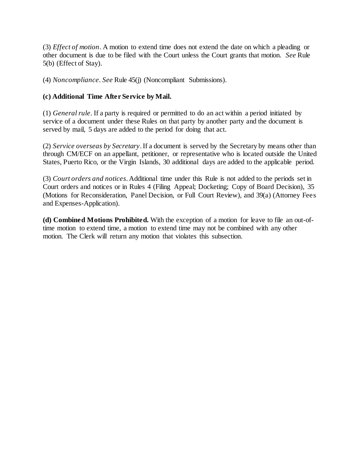(3) *Effect of motion*. A motion to extend time does not extend the date on which a pleading or other document is due to be filed with the Court unless the Court grants that motion. *See* Rule 5(b) (Effect of Stay).

(4) *Noncompliance*. *See* Rule 45(j) (Noncompliant Submissions).

#### **(c) Additional Time After Service by Mail.**

(1) *General rule*. If a party is required or permitted to do an act within a period initiated by service of a document under these Rules on that party by another party and the document is served by mail, 5 days are added to the period for doing that act.

(2) *Service overseas by Secretary*. If a document is served by the Secretary by means other than through CM/ECF on an appellant, petitioner, or representative who is located outside the United States, Puerto Rico, or the Virgin Islands, 30 additional days are added to the applicable period.

(3) *Court orders and notices*. Additional time under this Rule is not added to the periods set in Court orders and notices or in Rules 4 (Filing Appeal; Docketing; Copy of Board Decision), 35 (Motions for Reconsideration, Panel Decision, or Full Court Review), and 39(a) (Attorney Fees and Expenses-Application).

**(d) Combined Motions Prohibited.** With the exception of a motion for leave to file an out-oftime motion to extend time, a motion to extend time may not be combined with any other motion. The Clerk will return any motion that violates this subsection.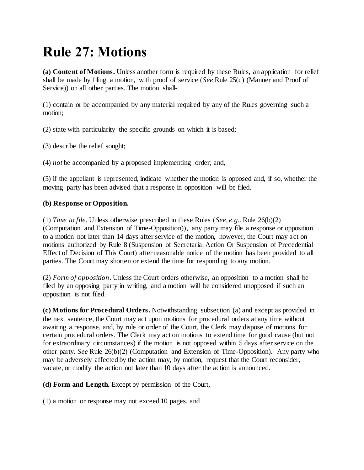# **Rule 27: Motions**

**(a) Content of Motions.** Unless another form is required by these Rules, an application for relief shall be made by filing a motion, with proof of service (*See* Rule 25(c) (Manner and Proof of Service)) on all other parties. The motion shall-

(1) contain or be accompanied by any material required by any of the Rules governing such a motion;

(2) state with particularity the specific grounds on which it is based;

(3) describe the relief sought;

(4) *not* be accompanied by a proposed implementing order; and,

(5) if the appellant is represented, indicate whether the motion is opposed and, if so, whether the moving party has been advised that a response in opposition will be filed.

#### **(b) Response or Opposition.**

(1) *Time to file*. Unless otherwise prescribed in these Rules (*See*, *e.g.*, Rule 26(b)(2) (Computation and Extension of Time-Opposition)), any party may file a response or opposition to a motion not later than 14 days after service of the motion, however, the Court may act on motions authorized by Rule 8 (Suspension of Secretarial Action Or Suspension of Precedential Effect of Decision of This Court) after reasonable notice of the motion has been provided to all parties. The Court may shorten or extend the time for responding to any motion.

(2) *Form of opposition*. Unless the Court orders otherwise, an opposition to a motion shall be filed by an opposing party in writing, and a motion will be considered unopposed if such an opposition is not filed.

**(c) Motions for Procedural Orders.** Notwithstanding subsection (a) and except as provided in the next sentence, the Court may act upon motions for procedural orders at any time without awaiting a response, and, by rule or order of the Court, the Clerk may dispose of motions for certain procedural orders. The Clerk may act on motions to extend time for good cause (but not for extraordinary circumstances) if the motion is not opposed within 5 days after service on the other party. *See* Rule 26(b)(2) (Computation and Extension of Time-Opposition). Any party who may be adversely affected by the action may, by motion, request that the Court reconsider, vacate, or modify the action not later than 10 days after the action is announced.

**(d) Form and Length.** Except by permission of the Court,

(1) a motion or response may not exceed 10 pages, and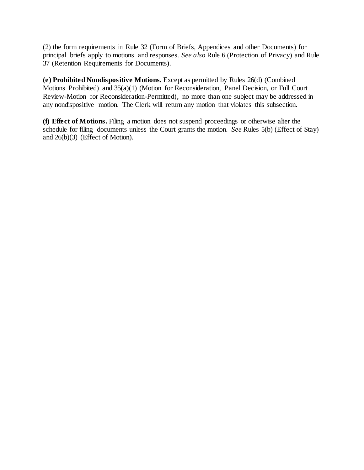(2) the form requirements in Rule 32 (Form of Briefs, Appendices and other Documents) for principal briefs apply to motions and responses. *See also* Rule 6 (Protection of Privacy) and Rule 37 (Retention Requirements for Documents).

**(e) Prohibited Nondispositive Motions.** Except as permitted by Rules 26(d) (Combined Motions Prohibited) and 35(a)(1) (Motion for Reconsideration, Panel Decision, or Full Court Review-Motion for Reconsideration-Permitted), no more than one subject may be addressed in any nondispositive motion. The Clerk will return any motion that violates this subsection.

**(f) Effect of Motions.** Filing a motion does not suspend proceedings or otherwise alter the schedule for filing documents unless the Court grants the motion. *See* Rules 5(b) (Effect of Stay) and 26(b)(3) (Effect of Motion).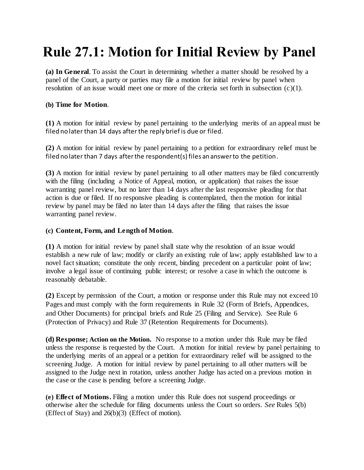# **Rule 27.1: Motion for Initial Review by Panel**

**(a) In General**. To assist the Court in determining whether a matter should be resolved by a panel of the Court, a party or parties may file a motion for initial review by panel when resolution of an issue would meet one or more of the criteria set forth in subsection  $(c)(1)$ .

#### **(b) Time for Motion**.

**(1)** A motion for initial review by panel pertaining to the underlying merits of an appeal must be filed no later than 14 days after the reply brief is due or filed.

**(2)** A motion for initial review by panel pertaining to a petition for extraordinary relief must be filed no later than 7 days after the respondent(s) files an answer to the petition.

**(3)** A motion for initial review by panel pertaining to all other matters may be filed concurrently with the filing (including a Notice of Appeal, motion, or application) that raises the issue warranting panel review, but no later than 14 days after the last responsive pleading for that action is due or filed. If no responsive pleading is contemplated, then the motion for initial review by panel may be filed no later than 14 days after the filing that raises the issue warranting panel review.

#### **(c) Content, Form, and Length of Motion**.

**(1)** A motion for initial review by panel shall state why the resolution of an issue would establish a new rule of law; modify or clarify an existing rule of law; apply established law to a novel fact situation; constitute the only recent, binding precedent on a particular point of law; involve a legal issue of continuing public interest; or resolve a case in which the outcome is reasonably debatable.

**(2)** Except by permission of the Court, a motion or response under this Rule may not exceed 10 Pages and must comply with the form requirements in Rule 32 (Form of Briefs, Appendices, and Other Documents) for principal briefs and Rule 25 (Filing and Service). See Rule 6 (Protection of Privacy) and Rule 37 (Retention Requirements for Documents).

**(d) Response; Action on the Motion.** No response to a motion under this Rule may be filed unless the response is requested by the Court. A motion for initial review by panel pertaining to the underlying merits of an appeal or a petition for extraordinary relief will be assigned to the screening Judge. A motion for initial review by panel pertaining to all other matters will be assigned to the Judge next in rotation, unless another Judge has acted on a previous motion in the case or the case is pending before a screening Judge.

**(e) Effect of Motions.** Filing a motion under this Rule does not suspend proceedings or otherwise alter the schedule for filing documents unless the Court so orders. *See* Rules 5(b) (Effect of Stay) and 26(b)(3) (Effect of motion).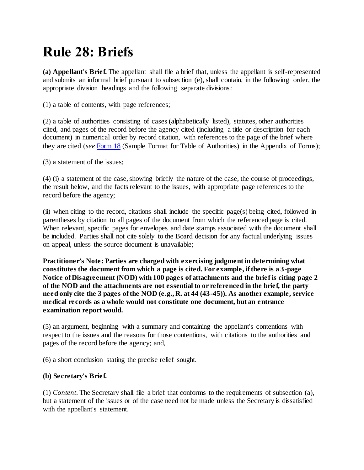# **Rule 28: Briefs**

**(a) Appellant's Brief.** The appellant shall file a brief that, unless the appellant is self-represented and submits an informal brief pursuant to subsection (e), shall contain, in the following order, the appropriate division headings and the following separate divisions:

(1) a table of contents, with page references;

(2) a table of authorities consisting of cases (alphabetically listed), statutes, other authorities cited, and pages of the record before the agency cited (including a title or description for each document) in numerical order by record citation, with references to the page of the brief where they are cited (*see* [Form 18](http://www.uscourts.cavc.gov/documents/appendix.pdf) (Sample Format for Table of Authorities) in the Appendix of Forms);

(3) a statement of the issues;

(4) (i) a statement of the case, showing briefly the nature of the case, the course of proceedings, the result below, and the facts relevant to the issues, with appropriate page references to the record before the agency;

(ii) when citing to the record, citations shall include the specific page(s) being cited, followed in parentheses by citation to all pages of the document from which the referenced page is cited. When relevant, specific pages for envelopes and date stamps associated with the document shall be included. Parties shall not cite solely to the Board decision for any factual underlying issues on appeal, unless the source document is unavailable;

**Practitioner's Note: Parties are charged with exercising judgment in determining what constitutes the document from which a page is cited. For example, if there is a 3-page Notice of Disagreement (NOD) with 100 pages of attachments and the brief is citing page 2 of the NOD and the attachments are not essential to or referenced in the brief, the party need only cite the 3 pages of the NOD (e.g., R. at 44 (43-45)). As another example, service medical records as a whole would not constitute one document, but an entrance examination report would.**

(5) an argument, beginning with a summary and containing the appellant's contentions with respect to the issues and the reasons for those contentions, with citations to the authorities and pages of the record before the agency; and,

(6) a short conclusion stating the precise relief sought.

### **(b) Secretary's Brief.**

(1) *Content*. The Secretary shall file a brief that conforms to the requirements of subsection (a), but a statement of the issues or of the case need not be made unless the Secretary is dissatisfied with the appellant's statement.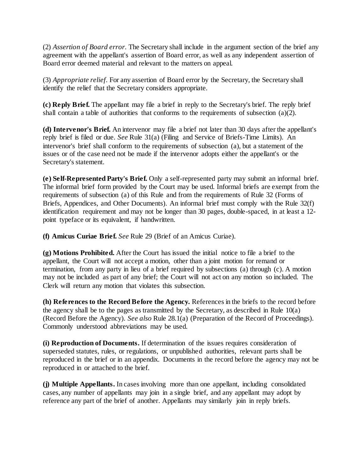(2) *Assertion of Board error.* The Secretary shall include in the argument section of the brief any agreement with the appellant's assertion of Board error, as well as any independent assertion of Board error deemed material and relevant to the matters on appeal.

(3) *Appropriate relief.* For any assertion of Board error by the Secretary, the Secretary shall identify the relief that the Secretary considers appropriate.

**(c) Reply Brief.** The appellant may file a brief in reply to the Secretary's brief. The reply brief shall contain a table of authorities that conforms to the requirements of subsection (a)(2).

**(d) Intervenor's Brief.** An intervenor may file a brief not later than 30 days after the appellant's reply brief is filed or due. *See* Rule 31(a) (Filing and Service of Briefs-Time Limits). An intervenor's brief shall conform to the requirements of subsection (a), but a statement of the issues or of the case need not be made if the intervenor adopts either the appellant's or the Secretary's statement.

**(e) Self-Represented Party's Brief.** Only a self-represented party may submit an informal brief. The informal brief form provided by the Court may be used. Informal briefs are exempt from the requirements of subsection (a) of this Rule and from the requirements of Rule 32 (Forms of Briefs, Appendices, and Other Documents). An informal brief must comply with the Rule 32(f) identification requirement and may not be longer than 30 pages, double-spaced, in at least a 12 point typeface or its equivalent, if handwritten.

**(f) Amicus Curiae Brief.** *See* Rule 29 (Brief of an Amicus Curiae).

**(g) Motions Prohibited.** After the Court has issued the initial notice to file a brief to the appellant, the Court will not accept a motion, other than a joint motion for remand or termination, from any party in lieu of a brief required by subsections (a) through (c). A motion may not be included as part of any brief; the Court will not act on any motion so included. The Clerk will return any motion that violates this subsection.

**(h) References to the Record Before the Agency.** References in the briefs to the record before the agency shall be to the pages as transmitted by the Secretary, as described in Rule 10(a) (Record Before the Agency). *See also* Rule 28.1(a) (Preparation of the Record of Proceedings). Commonly understood abbreviations may be used.

**(i) Reproduction of Documents.** If determination of the issues requires consideration of superseded statutes, rules, or regulations, or unpublished authorities, relevant parts shall be reproduced in the brief or in an appendix. Documents in the record before the agency may not be reproduced in or attached to the brief.

**(j) Multiple Appellants.** In cases involving more than one appellant, including consolidated cases, any number of appellants may join in a single brief, and any appellant may adopt by reference any part of the brief of another. Appellants may similarly join in reply briefs.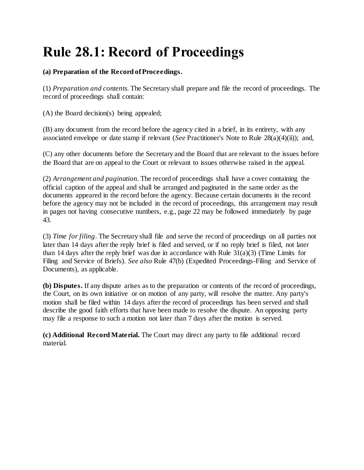# **Rule 28.1: Record of Proceedings**

### **(a) Preparation of the Record of Proceedings.**

(1) *Preparation and contents.* The Secretary shall prepare and file the record of proceedings. The record of proceedings shall contain:

(A) the Board decision(s) being appealed;

(B) any document from the record before the agency cited in a brief, in its entirety, with any associated envelope or date stamp if relevant (*See* Practitioner's Note to Rule 28(a)(4)(ii)); and,

(C) any other documents before the Secretary and the Board that are relevant to the issues before the Board that are on appeal to the Court or relevant to issues otherwise raised in the appeal.

(2) *Arrangement and pagination*. The record of proceedings shall have a cover containing the official caption of the appeal and shall be arranged and paginated in the same order as the documents appeared in the record before the agency. Because certain documents in the record before the agency may not be included in the record of proceedings, this arrangement may result in pages not having consecutive numbers, e.g., page 22 may be followed immediately by page 43.

(3) *Time for filing*. The Secretary shall file and serve the record of proceedings on all parties not later than 14 days after the reply brief is filed and served, or if no reply brief is filed, not later than 14 days after the reply brief was due in accordance with Rule 31(a)(3) (Time Limits for Filing and Service of Briefs). *See also* Rule 47(b) (Expedited Proceedings-Filing and Service of Documents), as applicable.

**(b) Disputes.** If any dispute arises as to the preparation or contents of the record of proceedings, the Court, on its own initiative or on motion of any party, will resolve the matter. Any party's motion shall be filed within 14 days after the record of proceedings has been served and shall describe the good faith efforts that have been made to resolve the dispute. An opposing party may file a response to such a motion not later than 7 days after the motion is served.

**(c) Additional Record Material.** The Court may direct any party to file additional record material.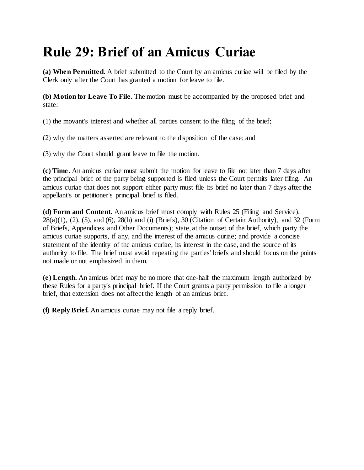# **Rule 29: Brief of an Amicus Curiae**

**(a) When Permitted.** A brief submitted to the Court by an amicus curiae will be filed by the Clerk only after the Court has granted a motion for leave to file.

**(b) Motion for Leave To File.** The motion must be accompanied by the proposed brief and state:

(1) the movant's interest and whether all parties consent to the filing of the brief;

(2) why the matters asserted are relevant to the disposition of the case; and

(3) why the Court should grant leave to file the motion.

**(c) Time.** An amicus curiae must submit the motion for leave to file not later than 7 days after the principal brief of the party being supported is filed unless the Court permits later filing. An amicus curiae that does not support either party must file its brief no later than 7 days after the appellant's or petitioner's principal brief is filed.

**(d) Form and Content.** An amicus brief must comply with Rules 25 (Filing and Service),  $28(a)(1)$ ,  $(2)$ ,  $(5)$ , and  $(6)$ ,  $28(h)$  and  $(i)$  (Briefs),  $30$  (Citation of Certain Authority), and  $32$  (Form of Briefs, Appendices and Other Documents); state, at the outset of the brief, which party the amicus curiae supports, if any, and the interest of the amicus curiae; and provide a concise statement of the identity of the amicus curiae, its interest in the case, and the source of its authority to file. The brief must avoid repeating the parties' briefs and should focus on the points not made or not emphasized in them.

**(e) Length.** An amicus brief may be no more that one-half the maximum length authorized by these Rules for a party's principal brief. If the Court grants a party permission to file a longer brief, that extension does not affect the length of an amicus brief.

**(f) Reply Brief.** An amicus curiae may not file a reply brief.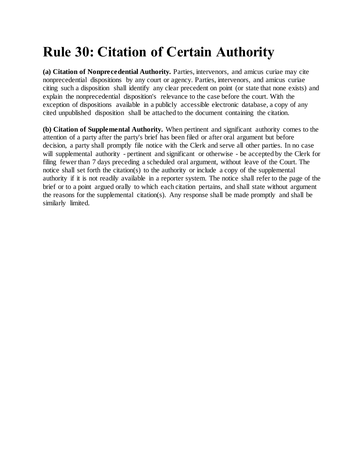# **Rule 30: Citation of Certain Authority**

**(a) Citation of Nonprecedential Authority.** Parties, intervenors, and amicus curiae may cite nonprecedential dispositions by any court or agency. Parties, intervenors, and amicus curiae citing such a disposition shall identify any clear precedent on point (or state that none exists) and explain the nonprecedential disposition's relevance to the case before the court. With the exception of dispositions available in a publicly accessible electronic database, a copy of any cited unpublished disposition shall be attached to the document containing the citation.

**(b) Citation of Supplemental Authority.** When pertinent and significant authority comes to the attention of a party after the party's brief has been filed or after oral argument but before decision, a party shall promptly file notice with the Clerk and serve all other parties. In no case will supplemental authority - pertinent and significant or otherwise - be accepted by the Clerk for filing fewer than 7 days preceding a scheduled oral argument, without leave of the Court. The notice shall set forth the citation(s) to the authority or include a copy of the supplemental authority if it is not readily available in a reporter system. The notice shall refer to the page of the brief or to a point argued orally to which each citation pertains, and shall state without argument the reasons for the supplemental citation(s). Any response shall be made promptly and shall be similarly limited.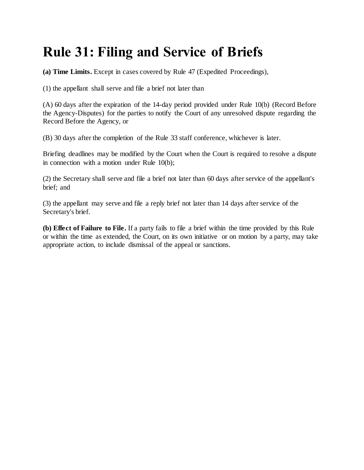## **Rule 31: Filing and Service of Briefs**

**(a) Time Limits.** Except in cases covered by Rule 47 (Expedited Proceedings),

(1) the appellant shall serve and file a brief not later than

(A) 60 days after the expiration of the 14-day period provided under Rule 10(b) (Record Before the Agency-Disputes) for the parties to notify the Court of any unresolved dispute regarding the Record Before the Agency, or

(B) 30 days after the completion of the Rule 33 staff conference, whichever is later.

Briefing deadlines may be modified by the Court when the Court is required to resolve a dispute in connection with a motion under Rule 10(b);

(2) the Secretary shall serve and file a brief not later than 60 days after service of the appellant's brief; and

(3) the appellant may serve and file a reply brief not later than 14 days after service of the Secretary's brief.

**(b) Effect of Failure to File.** If a party fails to file a brief within the time provided by this Rule or within the time as extended, the Court, on its own initiative or on motion by a party, may take appropriate action, to include dismissal of the appeal or sanctions.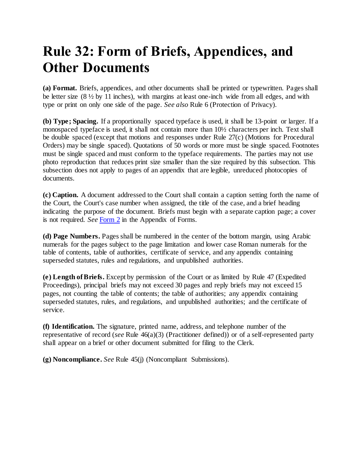### **Rule 32: Form of Briefs, Appendices, and Other Documents**

**(a) Format.** Briefs, appendices, and other documents shall be printed or typewritten. Pages shall be letter size  $(8 \frac{1}{2}$  by 11 inches), with margins at least one-inch wide from all edges, and with type or print on only one side of the page. *See also* Rule 6 (Protection of Privacy).

**(b) Type; Spacing.** If a proportionally spaced typeface is used, it shall be 13-point or larger. If a monospaced typeface is used, it shall not contain more than 10½ characters per inch. Text shall be double spaced (except that motions and responses under Rule 27(c) (Motions for Procedural Orders) may be single spaced). Quotations of 50 words or more must be single spaced. Footnotes must be single spaced and must conform to the typeface requirements. The parties may not use photo reproduction that reduces print size smaller than the size required by this subsection. This subsection does not apply to pages of an appendix that are legible, unreduced photocopies of documents.

**(c) Caption.** A document addressed to the Court shall contain a caption setting forth the name of the Court, the Court's case number when assigned, the title of the case, and a brief heading indicating the purpose of the document. Briefs must begin with a separate caption page; a cover is not required. *See* [Form 2](http://www.uscourts.cavc.gov/documents/appendix.pdf) in the Appendix of Forms.

**(d) Page Numbers.** Pages shall be numbered in the center of the bottom margin, using Arabic numerals for the pages subject to the page limitation and lower case Roman numerals for the table of contents, table of authorities, certificate of service, and any appendix containing superseded statutes, rules and regulations, and unpublished authorities.

**(e) Length of Briefs.** Except by permission of the Court or as limited by Rule 47 (Expedited Proceedings), principal briefs may not exceed 30 pages and reply briefs may not exceed 15 pages, not counting the table of contents; the table of authorities; any appendix containing superseded statutes, rules, and regulations, and unpublished authorities; and the certificate of service.

**(f) Identification.** The signature, printed name, address, and telephone number of the representative of record (*see* Rule 46(a)(3) (Practitioner defined)) or of a self-represented party shall appear on a brief or other document submitted for filing to the Clerk.

**(g) Noncompliance.** *See* Rule 45(j) (Noncompliant Submissions).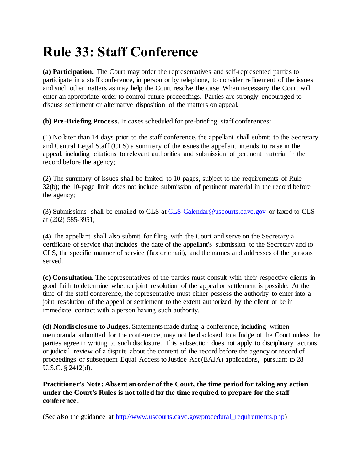# **Rule 33: Staff Conference**

**(a) Participation.** The Court may order the representatives and self-represented parties to participate in a staff conference, in person or by telephone, to consider refinement of the issues and such other matters as may help the Court resolve the case. When necessary, the Court will enter an appropriate order to control future proceedings. Parties are strongly encouraged to discuss settlement or alternative disposition of the matters on appeal.

**(b) Pre-Briefing Process.** In cases scheduled for pre-briefing staff conferences:

(1) No later than 14 days prior to the staff conference, the appellant shall submit to the Secretary and Central Legal Staff (CLS) a summary of the issues the appellant intends to raise in the appeal, including citations to relevant authorities and submission of pertinent material in the record before the agency;

(2) The summary of issues shall be limited to 10 pages, subject to the requirements of Rule 32(b); the 10-page limit does not include submission of pertinent material in the record before the agency;

(3) Submissions shall be emailed to CLS a[t CLS-Calendar@uscourts.cavc.gov](mailto:CLS-Calendar@uscourts.cavc.gov) or faxed to CLS at (202) 585-3951;

(4) The appellant shall also submit for filing with the Court and serve on the Secretary a certificate of service that includes the date of the appellant's submission to the Secretary and to CLS, the specific manner of service (fax or email), and the names and addresses of the persons served.

**(c) Consultation.** The representatives of the parties must consult with their respective clients in good faith to determine whether joint resolution of the appeal or settlement is possible. At the time of the staff conference, the representative must either possess the authority to enter into a joint resolution of the appeal or settlement to the extent authorized by the client or be in immediate contact with a person having such authority.

**(d) Nondisclosure to Judges.** Statements made during a conference, including written memoranda submitted for the conference, may not be disclosed to a Judge of the Court unless the parties agree in writing to such disclosure. This subsection does not apply to disciplinary actions or judicial review of a dispute about the content of the record before the agency or record of proceedings or subsequent Equal Access to Justice Act (EAJA) applications, pursuant to 28 U.S.C. § 2412(d).

**Practitioner's Note: Absent an order of the Court, the time period for taking any action under the Court's Rules is not tolled for the time required to prepare for the staff conference.** 

(See also the guidance at [http://www.uscourts.cavc.gov/procedural\\_requirements.php\)](http://www.uscourts.cavc.gov/procedural_requirements.php)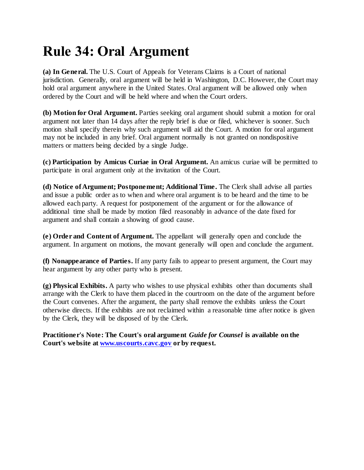# **Rule 34: Oral Argument**

**(a) In General.** The U.S. Court of Appeals for Veterans Claims is a Court of national jurisdiction. Generally, oral argument will be held in Washington, D.C. However, the Court may hold oral argument anywhere in the United States. Oral argument will be allowed only when ordered by the Court and will be held where and when the Court orders.

**(b) Motion for Oral Argument.** Parties seeking oral argument should submit a motion for oral argument not later than 14 days after the reply brief is due or filed, whichever is sooner. Such motion shall specify therein why such argument will aid the Court. A motion for oral argument may not be included in any brief. Oral argument normally is not granted on nondispositive matters or matters being decided by a single Judge.

**(c) Participation by Amicus Curiae in Oral Argument.** An amicus curiae will be permitted to participate in oral argument only at the invitation of the Court.

**(d) Notice of Argument; Postponement; Additional Time.** The Clerk shall advise all parties and issue a public order as to when and where oral argument is to be heard and the time to be allowed each party. A request for postponement of the argument or for the allowance of additional time shall be made by motion filed reasonably in advance of the date fixed for argument and shall contain a showing of good cause.

**(e) Order and Content of Argument.** The appellant will generally open and conclude the argument. In argument on motions, the movant generally will open and conclude the argument.

**(f) Nonappearance of Parties.** If any party fails to appear to present argument, the Court may hear argument by any other party who is present.

**(g) Physical Exhibits.** A party who wishes to use physical exhibits other than documents shall arrange with the Clerk to have them placed in the courtroom on the date of the argument before the Court convenes. After the argument, the party shall remove the exhibits unless the Court otherwise directs. If the exhibits are not reclaimed within a reasonable time after notice is given by the Clerk, they will be disposed of by the Clerk.

**Practitioner's Note: The Court's oral argument** *Guide for Counsel* **is available on the Court's website a[t www.uscourts.cavc.gov](http://www.uscourts.cavc.gov/) or by request.**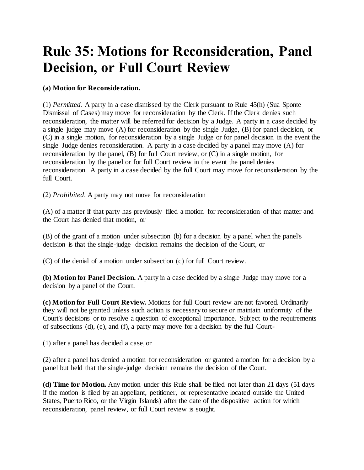### **Rule 35: Motions for Reconsideration, Panel Decision, or Full Court Review**

#### **(a) Motion for Reconsideration.**

(1) *Permitted*. A party in a case dismissed by the Clerk pursuant to Rule 45(h) (Sua Sponte Dismissal of Cases) may move for reconsideration by the Clerk. If the Clerk denies such reconsideration, the matter will be referred for decision by a Judge. A party in a case decided by a single judge may move (A) for reconsideration by the single Judge, (B) for panel decision, or (C) in a single motion, for reconsideration by a single Judge or for panel decision in the event the single Judge denies reconsideration. A party in a case decided by a panel may move (A) for reconsideration by the panel, (B) for full Court review, or (C) in a single motion, for reconsideration by the panel or for full Court review in the event the panel denies reconsideration. A party in a case decided by the full Court may move for reconsideration by the full Court.

(2) *Prohibited.* A party may not move for reconsideration

(A) of a matter if that party has previously filed a motion for reconsideration of that matter and the Court has denied that motion, or

(B) of the grant of a motion under subsection (b) for a decision by a panel when the panel's decision is that the single-judge decision remains the decision of the Court, or

(C) of the denial of a motion under subsection (c) for full Court review.

**(b) Motion for Panel Decision.** A party in a case decided by a single Judge may move for a decision by a panel of the Court.

**(c) Motion for Full Court Review.** Motions for full Court review are not favored. Ordinarily they will not be granted unless such action is necessary to secure or maintain uniformity of the Court's decisions or to resolve a question of exceptional importance. Subject to the requirements of subsections (d), (e), and (f), a party may move for a decision by the full Court-

(1) after a panel has decided a case, or

(2) after a panel has denied a motion for reconsideration or granted a motion for a decision by a panel but held that the single-judge decision remains the decision of the Court.

**(d) Time for Motion.** Any motion under this Rule shall be filed not later than 21 days (51 days if the motion is filed by an appellant, petitioner, or representative located outside the United States, Puerto Rico, or the Virgin Islands) after the date of the dispositive action for which reconsideration, panel review, or full Court review is sought.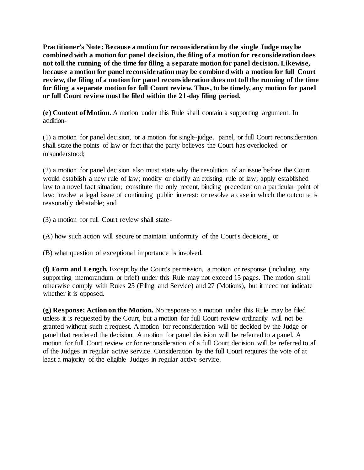**Practitioner's Note: Because a motion for reconsideration by the single Judge may be combined with a motion for pane l decision, the filing of a motion for reconsideration does not toll the running of the time for filing a separate motion for panel decision. Likewise, because a motion for panel reconsideration may be combined with a motion for full Court review, the filing of a motion for panel reconsideration does not toll the running of the time for filing a separate motion for full Court review. Thus, to be timely, any motion for panel or full Court review must be filed within the 21-day filing period.**

**(e) Content of Motion.** A motion under this Rule shall contain a supporting argument. In addition-

(1) a motion for panel decision, or a motion for single-judge, panel, or full Court reconsideration shall state the points of law or fact that the party believes the Court has overlooked or misunderstood;

(2) a motion for panel decision also must state why the resolution of an issue before the Court would establish a new rule of law; modify or clarify an existing rule of law; apply established law to a novel fact situation; constitute the only recent, binding precedent on a particular point of law; involve a legal issue of continuing public interest; or resolve a case in which the outcome is reasonably debatable; and

(3) a motion for full Court review shall state-

(A) how such action will secure or maintain uniformity of the Court's decisions, or

(B) what question of exceptional importance is involved.

**(f) Form and Length.** Except by the Court's permission, a motion or response (including any supporting memorandum or brief) under this Rule may not exceed 15 pages. The motion shall otherwise comply with Rules 25 (Filing and Service) and 27 (Motions), but it need not indicate whether it is opposed.

**(g) Response; Action on the Motion.** No response to a motion under this Rule may be filed unless it is requested by the Court, but a motion for full Court review ordinarily will not be granted without such a request. A motion for reconsideration will be decided by the Judge or panel that rendered the decision. A motion for panel decision will be referred to a panel. A motion for full Court review or for reconsideration of a full Court decision will be referred to all of the Judges in regular active service. Consideration by the full Court requires the vote of at least a majority of the eligible Judges in regular active service.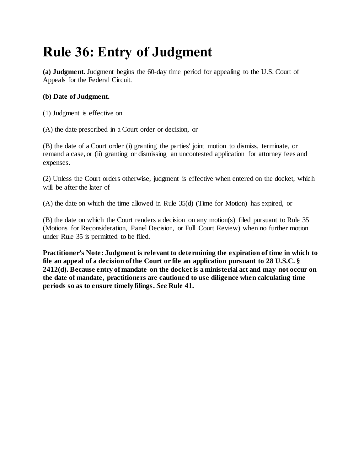## **Rule 36: Entry of Judgment**

**(a) Judgment.** Judgment begins the 60-day time period for appealing to the U.S. Court of Appeals for the Federal Circuit.

#### **(b) Date of Judgment.**

(1) Judgment is effective on

(A) the date prescribed in a Court order or decision, or

(B) the date of a Court order (i) granting the parties' joint motion to dismiss, terminate, or remand a case, or (ii) granting or dismissing an uncontested application for attorney fees and expenses.

(2) Unless the Court orders otherwise, judgment is effective when entered on the docket, which will be after the later of

(A) the date on which the time allowed in Rule 35(d) (Time for Motion) has expired, or

(B) the date on which the Court renders a decision on any motion(s) filed pursuant to Rule 35 (Motions for Reconsideration, Panel Decision, or Full Court Review) when no further motion under Rule 35 is permitted to be filed.

**Practitioner's Note: Judgment is relevant to determining the expiration of time in which to file an appeal of a decision of the Court or file an application pursuant to 28 U.S.C. § 2412(d). Because entry of mandate on the docket is a ministerial act and may not occur on the date of mandate, practitioners are cautioned to use diligence when calculating time periods so as to ensure timely filings.** *See* **Rule 41.**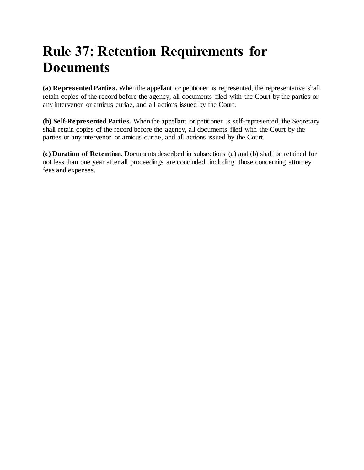## **Rule 37: Retention Requirements for Documents**

**(a) Represented Parties.** When the appellant or petitioner is represented, the representative shall retain copies of the record before the agency, all documents filed with the Court by the parties or any intervenor or amicus curiae, and all actions issued by the Court.

**(b) Self-Represented Parties.** When the appellant or petitioner is self-represented, the Secretary shall retain copies of the record before the agency, all documents filed with the Court by the parties or any intervenor or amicus curiae, and all actions issued by the Court.

**(c) Duration of Retention.** Documents described in subsections (a) and (b) shall be retained for not less than one year after all proceedings are concluded, including those concerning attorney fees and expenses.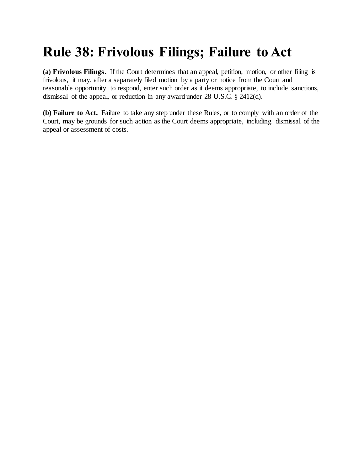## **Rule 38: Frivolous Filings; Failure to Act**

**(a) Frivolous Filings.** If the Court determines that an appeal, petition, motion, or other filing is frivolous, it may, after a separately filed motion by a party or notice from the Court and reasonable opportunity to respond, enter such order as it deems appropriate, to include sanctions, dismissal of the appeal, or reduction in any award under 28 U.S.C. § 2412(d).

**(b) Failure to Act.** Failure to take any step under these Rules, or to comply with an order of the Court, may be grounds for such action as the Court deems appropriate, including dismissal of the appeal or assessment of costs.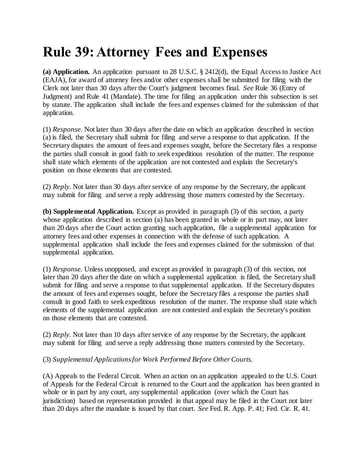### **Rule 39: Attorney Fees and Expenses**

**(a) Application.** An application pursuant to 28 U.S.C. § 2412(d), the Equal Access to Justice Act (EAJA), for award of attorney fees and/or other expenses shall be submitted for filing with the Clerk not later than 30 days after the Court's judgment becomes final. *See* Rule 36 (Entry of Judgment) and Rule 41 (Mandate). The time for filing an application under this subsection is set by statute. The application shall include the fees and expenses claimed for the submission of that application.

(1) *Response.* Not later than 30 days after the date on which an application described in section (a) is filed, the Secretary shall submit for filing and serve a response to that application. If the Secretary disputes the amount of fees and expenses sought, before the Secretary files a response the parties shall consult in good faith to seek expeditious resolution of the matter. The response shall state which elements of the application are not contested and explain the Secretary's position on those elements that are contested.

(2) *Reply.* Not later than 30 days after service of any response by the Secretary, the applicant may submit for filing and serve a reply addressing those matters contested by the Secretary.

**(b) Supplemental Application.** Except as provided in paragraph (3) of this section, a party whose application described in section (a) has been granted in whole or in part may, not later than 20 days after the Court action granting such application, file a supplemental application for attorney fees and other expenses in connection with the defense of such application. A supplemental application shall include the fees and expenses claimed for the submission of that supplemental application.

(1) *Response.* Unless unopposed, and except as provided in paragraph (3) of this section, not later than 20 days after the date on which a supplemental application is filed, the Secretary shall submit for filing and serve a response to that supplemental application. If the Secretary disputes the amount of fees and expenses sought, before the Secretary files a response the parties shall consult in good faith to seek expeditious resolution of the matter. The response shall state which elements of the supplemental application are not contested and explain the Secretary's position on those elements that are contested.

(2) *Reply.* Not later than 10 days after service of any response by the Secretary, the applicant may submit for filing and serve a reply addressing those matters contested by the Secretary.

#### (3) *Supplemental Applications for Work Performed Before Other Courts.*

(A) Appeals to the Federal Circuit. When an action on an application appealed to the U.S. Court of Appeals for the Federal Circuit is returned to the Court and the application has been granted in whole or in part by any court, any supplemental application (over which the Court has jurisdiction) based on representation provided in that appeal may be filed in the Court not later than 20 days after the mandate is issued by that court. *See* Fed. R. App. P. 41; Fed. Cir. R. 41.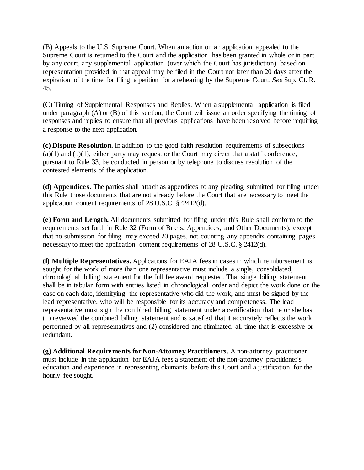(B) Appeals to the U.S. Supreme Court. When an action on an application appealed to the Supreme Court is returned to the Court and the application has been granted in whole or in part by any court, any supplemental application (over which the Court has jurisdiction) based on representation provided in that appeal may be filed in the Court not later than 20 days after the expiration of the time for filing a petition for a rehearing by the Supreme Court. *See* Sup. Ct. R. 45.

(C) Timing of Supplemental Responses and Replies. When a supplemental application is filed under paragraph (A) or (B) of this section, the Court will issue an order specifying the timing of responses and replies to ensure that all previous applications have been resolved before requiring a response to the next application.

**(c) Dispute Resolution.** In addition to the good faith resolution requirements of subsections  $(a)(1)$  and  $(b)(1)$ , either party may request or the Court may direct that a staff conference, pursuant to Rule 33, be conducted in person or by telephone to discuss resolution of the contested elements of the application.

**(d) Appendices.** The parties shall attach as appendices to any pleading submitted for filing under this Rule those documents that are not already before the Court that are necessary to meet the application content requirements of 28 U.S.C. §?2412(d).

**(e) Form and Length.** All documents submitted for filing under this Rule shall conform to the requirements set forth in Rule 32 (Form of Briefs, Appendices, and Other Documents), except that no submission for filing may exceed 20 pages, not counting any appendix containing pages necessary to meet the application content requirements of 28 U.S.C. § 2412(d).

**(f) Multiple Representatives.** Applications for EAJA fees in cases in which reimbursement is sought for the work of more than one representative must include a single, consolidated, chronological billing statement for the full fee award requested. That single billing statement shall be in tabular form with entries listed in chronological order and depict the work done on the case on each date, identifying the representative who did the work, and must be signed by the lead representative, who will be responsible for its accuracy and completeness. The lead representative must sign the combined billing statement under a certification that he or she has (1) reviewed the combined billing statement and is satisfied that it accurately reflects the work performed by all representatives and (2) considered and eliminated all time that is excessive or redundant.

**(g) Additional Requirements for Non-Attorney Practitioners.** A non-attorney practitioner must include in the application for EAJA fees a statement of the non-attorney practitioner's education and experience in representing claimants before this Court and a justification for the hourly fee sought.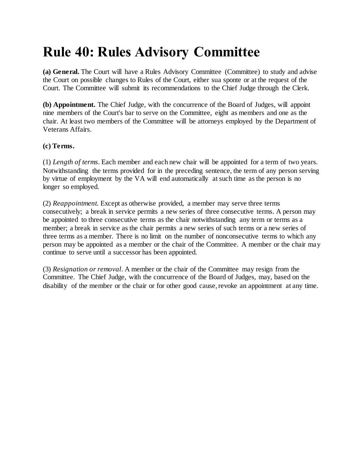## **Rule 40: Rules Advisory Committee**

**(a) General.** The Court will have a Rules Advisory Committee (Committee) to study and advise the Court on possible changes to Rules of the Court, either sua sponte or at the request of the Court. The Committee will submit its recommendations to the Chief Judge through the Clerk.

**(b) Appointment.** The Chief Judge, with the concurrence of the Board of Judges, will appoint nine members of the Court's bar to serve on the Committee, eight as members and one as the chair. At least two members of the Committee will be attorneys employed by the Department of Veterans Affairs.

#### **(c) Terms.**

(1) *Length of terms*. Each member and each new chair will be appointed for a term of two years. Notwithstanding the terms provided for in the preceding sentence, the term of any person serving by virtue of employment by the VA will end automatically at such time as the person is no longer so employed.

(2) *Reappointment.* Except as otherwise provided, a member may serve three terms consecutively; a break in service permits a new series of three consecutive terms. A person may be appointed to three consecutive terms as the chair notwithstanding any term or terms as a member; a break in service as the chair permits a new series of such terms or a new series of three terms as a member. There is no limit on the number of nonconsecutive terms to which any person may be appointed as a member or the chair of the Committee. A member or the chair may continue to serve until a successor has been appointed.

(3) *Resignation or removal*. A member or the chair of the Committee may resign from the Committee. The Chief Judge, with the concurrence of the Board of Judges, may, based on the disability of the member or the chair or for other good cause, revoke an appointment at any time.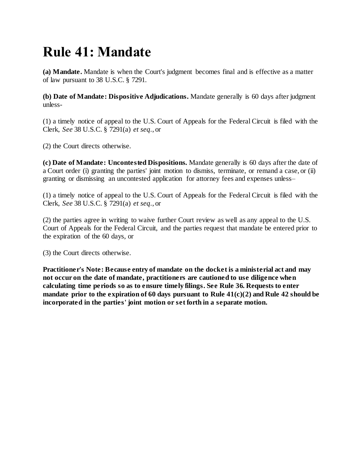## **Rule 41: Mandate**

**(a) Mandate.** Mandate is when the Court's judgment becomes final and is effective as a matter of law pursuant to 38 U.S.C. § 7291.

**(b) Date of Mandate: Dispositive Adjudications.** Mandate generally is 60 days after judgment unless-

(1) a timely notice of appeal to the U.S. Court of Appeals for the Federal Circuit is filed with the Clerk, *See* 38 U.S.C. § 7291(a) *et seq.*, or

(2) the Court directs otherwise.

**(c) Date of Mandate: Uncontested Dispositions.** Mandate generally is 60 days after the date of a Court order (i) granting the parties' joint motion to dismiss, terminate, or remand a case, or (ii) granting or dismissing an uncontested application for attorney fees and expenses unless–

(1) a timely notice of appeal to the U.S. Court of Appeals for the Federal Circuit is filed with the Clerk, *See* 38 U.S.C. § 7291(a) *et seq.*, or

(2) the parties agree in writing to waive further Court review as well as any appeal to the U.S. Court of Appeals for the Federal Circuit, and the parties request that mandate be entered prior to the expiration of the 60 days, or

(3) the Court directs otherwise.

**Practitioner's Note: Because entry of mandate on the docket is a ministerial act and may not occur on the date of mandate, practitioners are cautioned to use diligence when calculating time periods so as to ensure timely filings. See Rule 36. Requests to enter mandate prior to the expiration of 60 days pursuant to Rule 41(c)(2) and Rule 42 should be incorporated in the parties' joint motion or set forth in a separate motion.**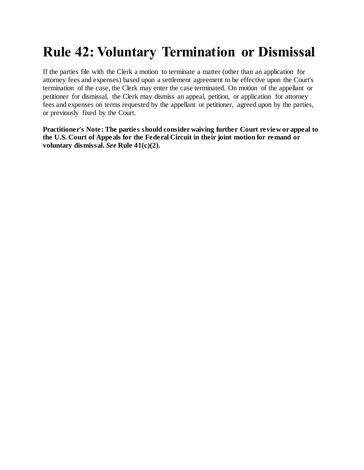### **Rule 42: Voluntary Termination or Dismissal**

If the parties file with the Clerk a motion to terminate a matter (other than an application for attorney fees and expenses) based upon a settlement agreement to be effective upon the Court's termination of the case, the Clerk may enter the case terminated. On motion of the appellant or petitioner for dismissal, the Clerk may dismiss an appeal, petition, or application for attorney fees and expenses on terms requested by the appellant or petitioner, agreed upon by the parties, or previously fixed by the Court.

**Practitioner's Note: The parties should consider waiving further Court review or appeal to the U.S. Court of Appeals for the Federal Circuit in their joint motion for remand or voluntary dismissal.** *See* **Rule 41(c)(2).**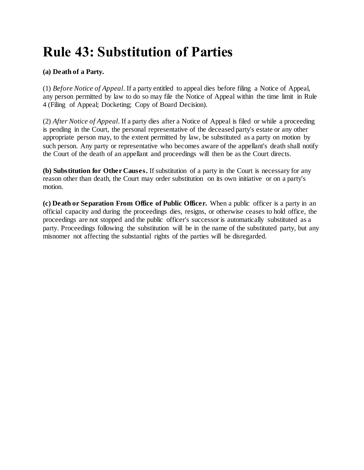### **Rule 43: Substitution of Parties**

#### **(a) Death of a Party.**

(1) *Before Notice of Appeal*. If a party entitled to appeal dies before filing a Notice of Appeal, any person permitted by law to do so may file the Notice of Appeal within the time limit in Rule 4 (Filing of Appeal; Docketing; Copy of Board Decision).

(2) *After Notice of Appeal*. If a party dies after a Notice of Appeal is filed or while a proceeding is pending in the Court, the personal representative of the deceased party's estate or any other appropriate person may, to the extent permitted by law, be substituted as a party on motion by such person. Any party or representative who becomes aware of the appellant's death shall notify the Court of the death of an appellant and proceedings will then be as the Court directs.

**(b) Substitution for Other Causes.** If substitution of a party in the Court is necessary for any reason other than death, the Court may order substitution on its own initiative or on a party's motion.

**(c) Death or Separation From Office of Public Officer.** When a public officer is a party in an official capacity and during the proceedings dies, resigns, or otherwise ceases to hold office, the proceedings are not stopped and the public officer's successor is automatically substituted as a party. Proceedings following the substitution will be in the name of the substituted party, but any misnomer not affecting the substantial rights of the parties will be disregarded.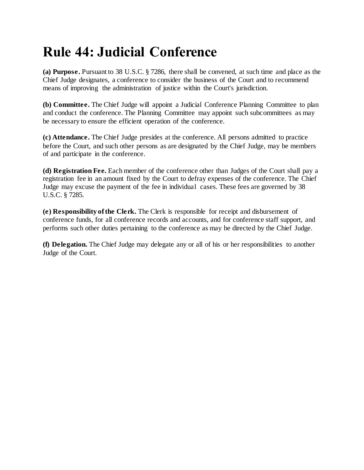## **Rule 44: Judicial Conference**

**(a) Purpose.** Pursuant to 38 U.S.C. § 7286, there shall be convened, at such time and place as the Chief Judge designates, a conference to consider the business of the Court and to recommend means of improving the administration of justice within the Court's jurisdiction.

**(b) Committee.** The Chief Judge will appoint a Judicial Conference Planning Committee to plan and conduct the conference. The Planning Committee may appoint such subcommittees as may be necessary to ensure the efficient operation of the conference.

**(c) Attendance.** The Chief Judge presides at the conference. All persons admitted to practice before the Court, and such other persons as are designated by the Chief Judge, may be members of and participate in the conference.

**(d) Registration Fee.** Each member of the conference other than Judges of the Court shall pay a registration fee in an amount fixed by the Court to defray expenses of the conference. The Chief Judge may excuse the payment of the fee in individual cases. These fees are governed by 38 U.S.C. § 7285.

**(e) Responsibility of the Clerk.** The Clerk is responsible for receipt and disbursement of conference funds, for all conference records and accounts, and for conference staff support, and performs such other duties pertaining to the conference as may be directed by the Chief Judge.

**(f) Delegation.** The Chief Judge may delegate any or all of his or her responsibilities to another Judge of the Court.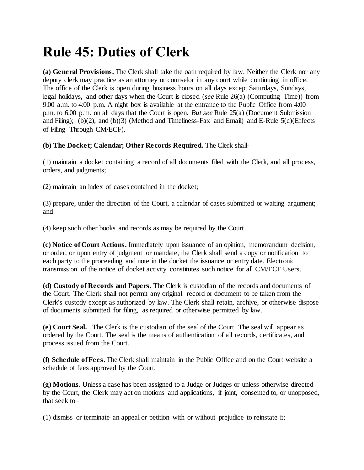## **Rule 45: Duties of Clerk**

**(a) General Provisions.** The Clerk shall take the oath required by law. Neither the Clerk nor any deputy clerk may practice as an attorney or counselor in any court while continuing in office. The office of the Clerk is open during business hours on all days except Saturdays, Sundays, legal holidays, and other days when the Court is closed (*see* Rule 26(a) (Computing Time)) from 9:00 a.m. to 4:00 p.m. A night box is available at the entrance to the Public Office from 4:00 p.m. to 6:00 p.m. on all days that the Court is open. *But see* Rule 25(a) (Document Submission and Filing); (b)(2), and (b)(3) (Method and Timeliness-Fax and Email) and E-Rule 5(c)(Effects of Filing Through CM/ECF).

#### **(b) The Docket; Calendar; Other Records Required.** The Clerk shall-

(1) maintain a docket containing a record of all documents filed with the Clerk, and all process, orders, and judgments;

(2) maintain an index of cases contained in the docket;

(3) prepare, under the direction of the Court, a calendar of cases submitted or waiting argument; and

(4) keep such other books and records as may be required by the Court.

**(c) Notice of Court Actions.** Immediately upon issuance of an opinion, memorandum decision, or order, or upon entry of judgment or mandate, the Clerk shall send a copy or notification to each party to the proceeding and note in the docket the issuance or entry date. Electronic transmission of the notice of docket activity constitutes such notice for all CM/ECF Users.

**(d) Custody of Records and Papers.** The Clerk is custodian of the records and documents of the Court. The Clerk shall not permit any original record or document to be taken from the Clerk's custody except as authorized by law. The Clerk shall retain, archive, or otherwise dispose of documents submitted for filing, as required or otherwise permitted by law.

**(e) Court Seal.** . The Clerk is the custodian of the seal of the Court. The seal will appear as ordered by the Court. The seal is the means of authentication of all records, certificates, and process issued from the Court.

**(f) Schedule of Fees.** The Clerk shall maintain in the Public Office and on the Court website a schedule of fees approved by the Court.

**(g) Motions.** Unless a case has been assigned to a Judge or Judges or unless otherwise directed by the Court, the Clerk may act on motions and applications, if joint, consented to, or unopposed, that seek to–

(1) dismiss or terminate an appeal or petition with or without prejudice to reinstate it;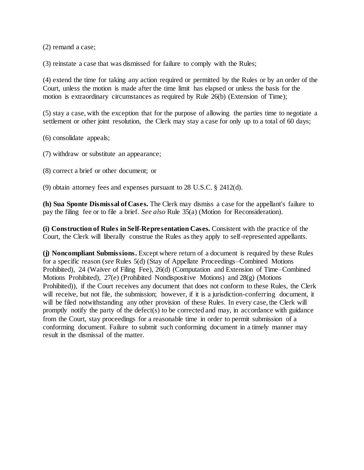(2) remand a case;

(3) reinstate a case that was dismissed for failure to comply with the Rules;

(4) extend the time for taking any action required or permitted by the Rules or by an order of the Court, unless the motion is made after the time limit has elapsed or unless the basis for the motion is extraordinary circumstances as required by Rule 26(b) (Extension of Time);

(5) stay a case, with the exception that for the purpose of allowing the parties time to negotiate a settlement or other joint resolution, the Clerk may stay a case for only up to a total of 60 days;

(6) consolidate appeals;

(7) withdraw or substitute an appearance;

(8) correct a brief or other document; or

(9) obtain attorney fees and expenses pursuant to 28 U.S.C. § 2412(d).

**(h) Sua Sponte Dismissal of Cases.** The Clerk may dismiss a case for the appellant's failure to pay the filing fee or to file a brief. *See also* Rule 35(a) (Motion for Reconsideration).

**(i) Construction of Rules in Self-Representation Cases.** Consistent with the practice of the Court, the Clerk will liberally construe the Rules as they apply to self-represented appellants.

**(j) Noncompliant Submissions.** Except where return of a document is required by these Rules for a specific reason (*see* Rules 5(d) (Stay of Appellate Proceedings–Combined Motions Prohibited), 24 (Waiver of Filing Fee), 26(d) (Computation and Extension of Time–Combined Motions Prohibited), 27(e) (Prohibited Nondispositive Motions) and 28(g) (Motions Prohibited)), if the Court receives any document that does not conform to these Rules, the Clerk will receive, but not file, the submission; however, if it is a jurisdiction-conferring document, it will be filed notwithstanding any other provision of these Rules. In every case, the Clerk will promptly notify the party of the defect(s) to be corrected and may, in accordance with guidance from the Court, stay proceedings for a reasonable time in order to permit submission of a conforming document. Failure to submit such conforming document in a timely manner may result in the dismissal of the matter.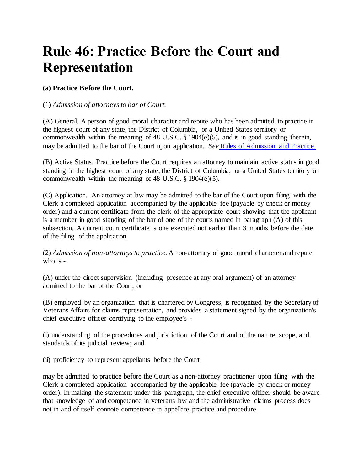### **Rule 46: Practice Before the Court and Representation**

#### **(a) Practice Before the Court.**

#### (1) *Admission of attorneys to bar of Court.*

(A) General. A person of good moral character and repute who has been admitted to practice in the highest court of any state, the District of Columbia, or a United States territory or commonwealth within the meaning of 48 U.S.C. § 1904(e)(5), and is in good standing therein, may be admitted to the bar of the Court upon application. *See* [Rules of Admission and Practice.](http://www.uscourts.cavc.gov/rules_of_admission_and_practice.php)

(B) Active Status. Practice before the Court requires an attorney to maintain active status in good standing in the highest court of any state, the District of Columbia, or a United States territory or commonwealth within the meaning of 48 U.S.C. § 1904(e)(5).

(C) Application. An attorney at law may be admitted to the bar of the Court upon filing with the Clerk a completed application accompanied by the applicable fee (payable by check or money order) and a current certificate from the clerk of the appropriate court showing that the applicant is a member in good standing of the bar of one of the courts named in paragraph (A) of this subsection. A current court certificate is one executed not earlier than 3 months before the date of the filing of the application.

(2) *Admission of non-attorneys to practice.* A non-attorney of good moral character and repute who is -

(A) under the direct supervision (including presence at any oral argument) of an attorney admitted to the bar of the Court, or

(B) employed by an organization that is chartered by Congress, is recognized by the Secretary of Veterans Affairs for claims representation, and provides a statement signed by the organization's chief executive officer certifying to the employee's -

(i) understanding of the procedures and jurisdiction of the Court and of the nature, scope, and standards of its judicial review; and

(ii) proficiency to represent appellants before the Court

may be admitted to practice before the Court as a non-attorney practitioner upon filing with the Clerk a completed application accompanied by the applicable fee (payable by check or money order). In making the statement under this paragraph, the chief executive officer should be aware that knowledge of and competence in veterans law and the administrative claims process does not in and of itself connote competence in appellate practice and procedure.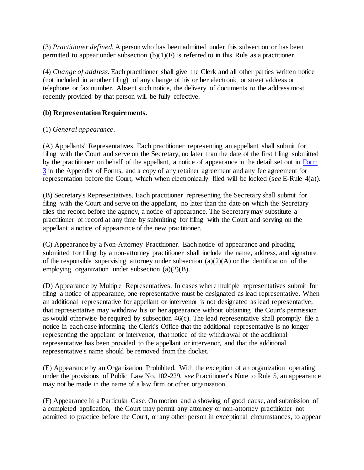(3) *Practitioner defined.* A person who has been admitted under this subsection or has been permitted to appear under subsection  $(b)(1)(F)$  is referred to in this Rule as a practitioner.

(4) *Change of address.* Each practitioner shall give the Clerk and all other parties written notice (not included in another filing) of any change of his or her electronic or street address or telephone or fax number. Absent such notice, the delivery of documents to the address most recently provided by that person will be fully effective.

#### **(b) Representation Requirements.**

#### (1) *General appearance*.

(A) Appellants' Representatives. Each practitioner representing an appellant shall submit for filing with the Court and serve on the Secretary, no later than the date of the first filing submitted by the practitioner on behalf of the appellant, a notice of appearance in the detail set out in [Form](http://www.uscourts.cavc.gov/documents/Form3.pdf)  [3](http://www.uscourts.cavc.gov/documents/Form3.pdf) in the Appendix of Forms, and a copy of any retainer agreement and any fee agreement for representation before the Court, which when electronically filed will be locked (s*ee* E-Rule 4(a)).

(B) Secretary's Representatives. Each practitioner representing the Secretary shall submit for filing with the Court and serve on the appellant, no later than the date on which the Secretary files the record before the agency, a notice of appearance. The Secretary may substitute a practitioner of record at any time by submitting for filing with the Court and serving on the appellant a notice of appearance of the new practitioner.

(C) Appearance by a Non-Attorney Practitioner. Each notice of appearance and pleading submitted for filing by a non-attorney practitioner shall include the name, address, and signature of the responsible supervising attorney under subsection  $(a)(2)(A)$  or the identification of the employing organization under subsection  $(a)(2)(B)$ .

(D) Appearance by Multiple Representatives. In cases where multiple representatives submit for filing a notice of appearance, one representative must be designated as lead representative. When an additional representative for appellant or intervenor is not designated as lead representative, that representative may withdraw his or her appearance without obtaining the Court's permission as would otherwise be required by subsection 46(c). The lead representative shall promptly file a notice in each case informing the Clerk's Office that the additional representative is no longer representing the appellant or intervenor, that notice of the withdrawal of the additional representative has been provided to the appellant or intervenor, and that the additional representative's name should be removed from the docket.

(E) Appearance by an Organization Prohibited. With the exception of an organization operating under the provisions of Public Law No. 102-229, s*ee* Practitioner's Note to Rule 5, an appearance may not be made in the name of a law firm or other organization.

(F) Appearance in a Particular Case. On motion and a showing of good cause, and submission of a completed application, the Court may permit any attorney or non-attorney practitioner not admitted to practice before the Court, or any other person in exceptional circumstances, to appear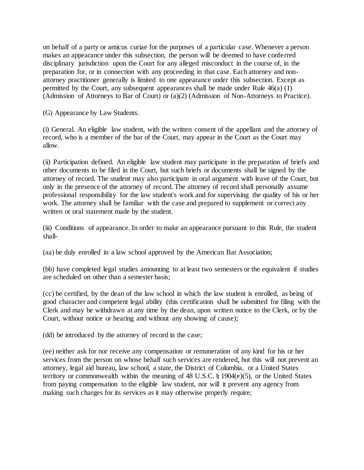on behalf of a party or amicus curiae for the purposes of a particular case. Whenever a person makes an appearance under this subsection, the person will be deemed to have conferred disciplinary jurisdiction upon the Court for any alleged misconduct in the course of, in the preparation for, or in connection with any proceeding in that case. Each attorney and nonattorney practitioner generally is limited to one appearance under this subsection. Except as permitted by the Court, any subsequent appearances shall be made under Rule 46(a) (1) (Admission of Attorneys to Bar of Court) or (a)(2) (Admission of Non-Attorneys to Practice).

(G) Appearance by Law Students.

(i) General. An eligible law student, with the written consent of the appellant and the attorney of record, who is a member of the bar of the Court, may appear in the Court as the Court may allow.

(ii) Participation defined. An eligible law student may participate in the preparation of briefs and other documents to be filed in the Court, but such briefs or documents shall be signed by the attorney of record. The student may also participate in oral argument with leave of the Court, but only in the presence of the attorney of record. The attorney of record shall personally assume professional responsibility for the law student's work and for supervising the quality of his or her work. The attorney shall be familiar with the case and prepared to supplement or correct any written or oral statement made by the student.

(iii) Conditions of appearance. In order to make an appearance pursuant to this Rule, the student shall-

(aa) be duly enrolled in a law school approved by the American Bar Association;

(bb) have completed legal studies amounting to at least two semesters or the equivalent if studies are scheduled on other than a semester basis;

(cc) be certified, by the dean of the law school in which the law student is enrolled, as being of good character and competent legal ability (this certification shall be submitted for filing with the Clerk and may be withdrawn at any time by the dean, upon written notice to the Clerk, or by the Court, without notice or hearing and without any showing of cause);

(dd) be introduced by the attorney of record in the case;

(ee) neither ask for nor receive any compensation or remuneration of any kind for his or her services from the person on whose behalf such services are rendered, but this will not prevent an attorney, legal aid bureau, law school, a state, the District of Columbia, or a United States territory or commonwealth within the meaning of 48 U.S.C. § 1904(e)(5), or the United States from paying compensation to the eligible law student, nor will it prevent any agency from making such charges for its services as it may otherwise properly require;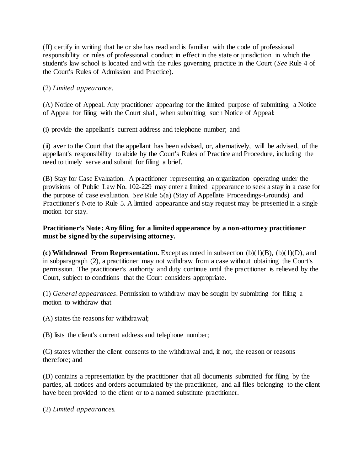(ff) certify in writing that he or she has read and is familiar with the code of professional responsibility or rules of professional conduct in effect in the state or jurisdiction in which the student's law school is located and with the rules governing practice in the Court (*See* Rule 4 of the Court's Rules of Admission and Practice).

#### (2) *Limited appearance.*

(A) Notice of Appeal. Any practitioner appearing for the limited purpose of submitting a Notice of Appeal for filing with the Court shall, when submitting such Notice of Appeal:

(i) provide the appellant's current address and telephone number; and

(ii) aver to the Court that the appellant has been advised, or, alternatively, will be advised, of the appellant's responsibility to abide by the Court's Rules of Practice and Procedure, including the need to timely serve and submit for filing a brief.

(B) Stay for Case Evaluation. A practitioner representing an organization operating under the provisions of Public Law No. 102-229 may enter a limited appearance to seek a stay in a case for the purpose of case evaluation. *See* Rule 5(a) (Stay of Appellate Proceedings-Grounds) and Practitioner's Note to Rule 5. A limited appearance and stay request may be presented in a single motion for stay.

#### **Practitioner's Note: Any filing for a limited appearance by a non-attorney practitioner must be signed by the supervising attorney.**

**(c) Withdrawal From Representation.** Except as noted in subsection (b)(1)(B), (b)(1)(D), and in subparagraph (2), a practitioner may not withdraw from a case without obtaining the Court's permission. The practitioner's authority and duty continue until the practitioner is relieved by the Court, subject to conditions that the Court considers appropriate.

(1) *General appearances*. Permission to withdraw may be sought by submitting for filing a motion to withdraw that

(A) states the reasons for withdrawal;

(B) lists the client's current address and telephone number;

(C) states whether the client consents to the withdrawal and, if not, the reason or reasons therefore; and

(D) contains a representation by the practitioner that all documents submitted for filing by the parties, all notices and orders accumulated by the practitioner, and all files belonging to the client have been provided to the client or to a named substitute practitioner.

(2) *Limited appearances.*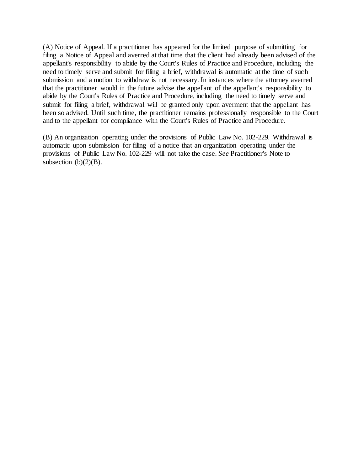(A) Notice of Appeal. If a practitioner has appeared for the limited purpose of submitting for filing a Notice of Appeal and averred at that time that the client had already been advised of the appellant's responsibility to abide by the Court's Rules of Practice and Procedure, including the need to timely serve and submit for filing a brief, withdrawal is automatic at the time of such submission and a motion to withdraw is not necessary. In instances where the attorney averred that the practitioner would in the future advise the appellant of the appellant's responsibility to abide by the Court's Rules of Practice and Procedure, including the need to timely serve and submit for filing a brief, withdrawal will be granted only upon averment that the appellant has been so advised. Until such time, the practitioner remains professionally responsible to the Court and to the appellant for compliance with the Court's Rules of Practice and Procedure.

(B) An organization operating under the provisions of Public Law No. 102-229. Withdrawal is automatic upon submission for filing of a notice that an organization operating under the provisions of Public Law No. 102-229 will not take the case. *See* Practitioner's Note to subsection  $(b)(2)(B)$ .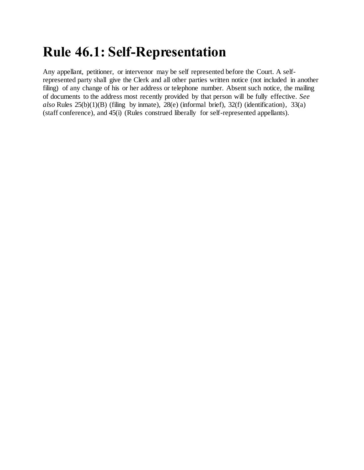## **Rule 46.1: Self-Representation**

Any appellant, petitioner, or intervenor may be self represented before the Court. A selfrepresented party shall give the Clerk and all other parties written notice (not included in another filing) of any change of his or her address or telephone number. Absent such notice, the mailing of documents to the address most recently provided by that person will be fully effective. *See also* Rules 25(b)(1)(B) (filing by inmate), 28(e) (informal brief), 32(f) (identification), 33(a) (staff conference), and 45(i) (Rules construed liberally for self-represented appellants).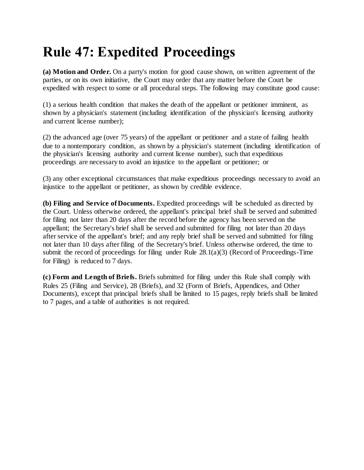## **Rule 47: Expedited Proceedings**

**(a) Motion and Order.** On a party's motion for good cause shown, on written agreement of the parties, or on its own initiative, the Court may order that any matter before the Court be expedited with respect to some or all procedural steps. The following may constitute good cause:

(1) a serious health condition that makes the death of the appellant or petitioner imminent, as shown by a physician's statement (including identification of the physician's licensing authority and current license number);

(2) the advanced age (over 75 years) of the appellant or petitioner and a state of failing health due to a nontemporary condition, as shown by a physician's statement (including identification of the physician's licensing authority and current license number), such that expeditious proceedings are necessary to avoid an injustice to the appellant or petitioner; or

(3) any other exceptional circumstances that make expeditious proceedings necessary to avoid an injustice to the appellant or petitioner, as shown by credible evidence.

**(b) Filing and Service of Documents.** Expedited proceedings will be scheduled as directed by the Court. Unless otherwise ordered, the appellant's principal brief shall be served and submitted for filing not later than 20 days after the record before the agency has been served on the appellant; the Secretary's brief shall be served and submitted for filing not later than 20 days after service of the appellant's brief; and any reply brief shall be served and submitted for filing not later than 10 days after filing of the Secretary's brief. Unless otherwise ordered, the time to submit the record of proceedings for filing under Rule 28.1(a)(3) (Record of Proceedings-Time for Filing) is reduced to 7 days.

**(c) Form and Length of Briefs.** Briefs submitted for filing under this Rule shall comply with Rules 25 (Filing and Service), 28 (Briefs), and 32 (Form of Briefs, Appendices, and Other Documents), except that principal briefs shall be limited to 15 pages, reply briefs shall be limited to 7 pages, and a table of authorities is not required.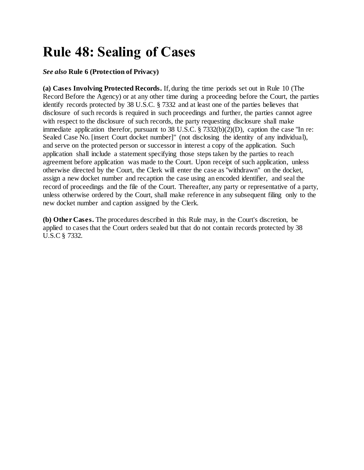# **Rule 48: Sealing of Cases**

#### *See also* **Rule 6 (Protection of Privacy)**

**(a) Cases Involving Protected Records.** If, during the time periods set out in Rule 10 (The Record Before the Agency) or at any other time during a proceeding before the Court, the parties identify records protected by 38 U.S.C. § 7332 and at least one of the parties believes that disclosure of such records is required in such proceedings and further, the parties cannot agree with respect to the disclosure of such records, the party requesting disclosure shall make immediate application therefor, pursuant to 38 U.S.C.  $\S$  7332(b)(2)(D), caption the case "In re: Sealed Case No. [insert Court docket number]" (not disclosing the identity of any individual), and serve on the protected person or successor in interest a copy of the application. Such application shall include a statement specifying those steps taken by the parties to reach agreement before application was made to the Court. Upon receipt of such application, unless otherwise directed by the Court, the Clerk will enter the case as "withdrawn" on the docket, assign a new docket number and recaption the case using an encoded identifier, and seal the record of proceedings and the file of the Court. Thereafter, any party or representative of a party, unless otherwise ordered by the Court, shall make reference in any subsequent filing only to the new docket number and caption assigned by the Clerk.

**(b) Other Cases.** The procedures described in this Rule may, in the Court's discretion, be applied to cases that the Court orders sealed but that do not contain records protected by 38 U.S.C § 7332.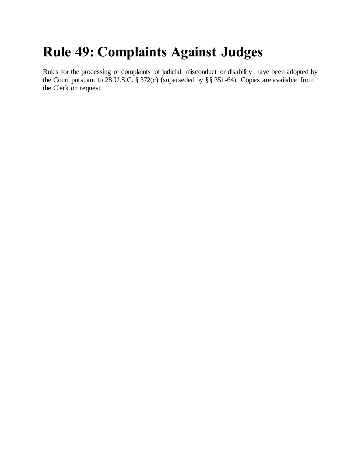### **Rule 49: Complaints Against Judges**

Rules for the processing of complaints of judicial misconduct or disability have been adopted by the Court pursuant to 28 U.S.C. § 372(c) (superseded by §§ 351-64). Copies are available from the Clerk on request.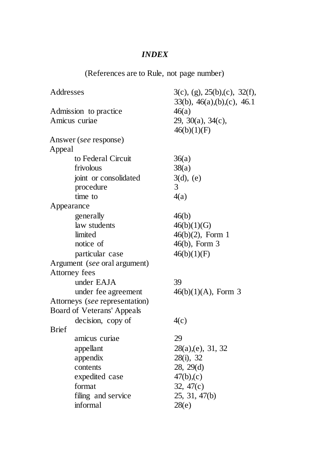#### *INDEX*

(References are to Rule, not page number)

| Addresses                      | $3(c)$ , (g), $25(b)$ , (c), $32(f)$ ,     |
|--------------------------------|--------------------------------------------|
|                                | $33(b)$ , $46(a)$ , $(b)$ , $(c)$ , $46.1$ |
| Admission to practice          | 46(a)                                      |
| Amicus curiae                  | 29, 30(a), 34(c),                          |
|                                | 46(b)(1)(F)                                |
| Answer (see response)          |                                            |
| Appeal                         |                                            |
| to Federal Circuit             | 36(a)                                      |
| frivolous                      | 38(a)                                      |
| joint or consolidated          | $3(d)$ , (e)                               |
| procedure                      | 3                                          |
| time to                        | 4(a)                                       |
| Appearance                     |                                            |
| generally                      | 46(b)                                      |
| law students                   | 46(b)(1)(G)                                |
| limited                        | $46(b)(2)$ , Form 1                        |
| notice of                      | 46(b), Form 3                              |
| particular case                | 46(b)(1)(F)                                |
| Argument (see oral argument)   |                                            |
| Attorney fees                  |                                            |
| under EAJA                     | 39                                         |
| under fee agreement            | $46(b)(1)(A)$ , Form 3                     |
| Attorneys (see representation) |                                            |
| Board of Veterans' Appeals     |                                            |
| decision, copy of              | 4(c)                                       |
| <b>Brief</b>                   |                                            |
| amicus curiae                  | 29                                         |
| appellant                      | 28(a),(e), 31, 32                          |
| appendix                       | 28(i), 32                                  |
| contents                       | 28, 29(d)                                  |
| expedited case                 | 47(b),(c)                                  |
| format                         | 32, $47(c)$                                |
| filing and service             | 25, 31, 47(b)                              |
| informal                       | 28(e)                                      |
|                                |                                            |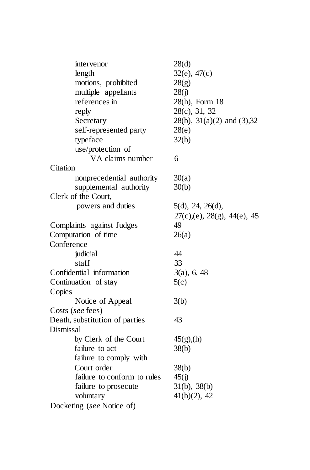| intervenor                     | 28(d)                                   |
|--------------------------------|-----------------------------------------|
| length                         | $32(e)$ , $47(c)$                       |
| motions, prohibited            | 28(g)                                   |
| multiple appellants            | 28(j)                                   |
| references in                  | 28(h), Form 18                          |
| reply                          | 28(c), 31, 32                           |
| Secretary                      | $28(b)$ , $31(a)(2)$ and $(3)$ , $32$   |
| self-represented party         | 28(e)                                   |
| typeface                       | 32(b)                                   |
| use/protection of              |                                         |
| VA claims number               | 6                                       |
| Citation                       |                                         |
| nonprecedential authority      | 30(a)                                   |
| supplemental authority         | 30(b)                                   |
| Clerk of the Court,            |                                         |
| powers and duties              | 5(d), 24, 26(d),                        |
|                                | $27(c)$ , (e), $28(g)$ , $44(e)$ , $45$ |
| Complaints against Judges      | 49                                      |
| Computation of time            | 26(a)                                   |
| Conference                     |                                         |
| judicial                       | 44                                      |
| staff                          | 33                                      |
| Confidential information       | $3(a)$ , 6, 48                          |
| Continuation of stay           | 5(c)                                    |
| Copies                         |                                         |
| Notice of Appeal               | 3(b)                                    |
| Costs (see fees)               |                                         |
| Death, substitution of parties | 43                                      |
| Dismissal                      |                                         |
| by Clerk of the Court          | 45(g)(h)                                |
| failure to act                 | 38(b)                                   |
| failure to comply with         |                                         |
| Court order                    | 38(b)                                   |
| failure to conform to rules    | 45(j)                                   |
| failure to prosecute           | 31(b), 38(b)                            |
| voluntary                      | $41(b)(2)$ , 42                         |
| Docketing (see Notice of)      |                                         |
|                                |                                         |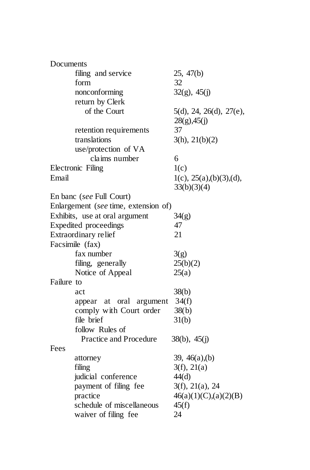| Documents  |                                      |                           |  |
|------------|--------------------------------------|---------------------------|--|
|            | filing and service                   | 25, 47(b)                 |  |
|            | form                                 | 32                        |  |
|            | nonconforming                        | $32(g)$ , $45(j)$         |  |
|            | return by Clerk                      |                           |  |
|            | of the Court                         | 5(d), 24, 26(d), 27(e),   |  |
|            |                                      | $28(g)$ ,45(j)            |  |
|            | retention requirements               | 37                        |  |
|            | translations                         | 3(h), 21(b)(2)            |  |
|            | use/protection of VA                 |                           |  |
|            | claims number                        | 6                         |  |
|            | <b>Electronic Filing</b>             | 1(c)                      |  |
| Email      |                                      | 1(c), 25(a), (b)(3), (d), |  |
|            |                                      | 33(b)(3)(4)               |  |
|            | En banc (see Full Court)             |                           |  |
|            | Enlargement (see time, extension of) |                           |  |
|            | Exhibits, use at oral argument       | 34(g)                     |  |
|            | <b>Expedited</b> proceedings         | 47                        |  |
|            | Extraordinary relief                 | 21                        |  |
|            | Facsimile (fax)                      |                           |  |
|            | fax number                           | 3(g)                      |  |
|            | filing, generally                    | 25(b)(2)                  |  |
|            | Notice of Appeal                     | 25(a)                     |  |
| Failure to |                                      |                           |  |
|            | act                                  | 38(b)                     |  |
|            | at oral<br>argument<br>appear        | 34(f)                     |  |
|            | comply with Court order              | 38(b)                     |  |
|            | file brief                           | 31(b)                     |  |
|            | follow Rules of                      |                           |  |
|            | <b>Practice and Procedure</b>        | 38(b), 45(j)              |  |
| Fees       |                                      |                           |  |
|            | attorney                             | 39, $46(a)$ , (b)         |  |
|            | filing                               | 3(f), 21(a)               |  |
|            | judicial conference                  | 44(d)                     |  |
|            | payment of filing fee                | 3(f), 21(a), 24           |  |
|            | practice                             | 46(a)(1)(C),(a)(2)(B)     |  |
|            | schedule of miscellaneous            | 45(f)                     |  |
|            | waiver of filing fee                 | 24                        |  |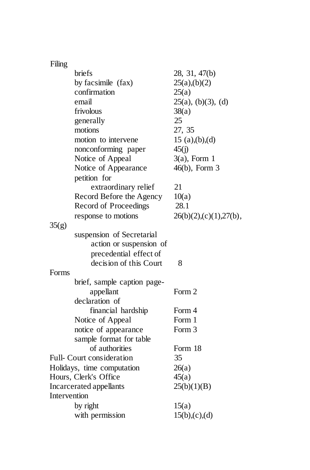| Filing       |                              |                        |
|--------------|------------------------------|------------------------|
|              | briefs                       | 28, 31, 47(b)          |
|              | by facsimile (fax)           | 25(a),(b)(2)           |
|              | confirmation                 | 25(a)                  |
|              | email                        | $25(a)$ , (b)(3), (d)  |
|              | frivolous                    | 38(a)                  |
|              | generally                    | 25                     |
|              | motions                      | 27, 35                 |
|              | motion to intervene          | 15 $(a),(b),(d)$       |
|              | nonconforming paper          | 45(j)                  |
|              | Notice of Appeal             | $3(a)$ , Form 1        |
|              | Notice of Appearance         | $46(b)$ , Form 3       |
|              | petition for                 |                        |
|              | extraordinary relief         | 21                     |
|              | Record Before the Agency     | 10(a)                  |
|              | <b>Record of Proceedings</b> | 28.1                   |
|              | response to motions          | 26(b)(2),(c)(1),27(b), |
| 35(g)        |                              |                        |
|              | suspension of Secretarial    |                        |
|              | action or suspension of      |                        |
|              | precedential effect of       |                        |
|              | decision of this Court       | 8                      |
| Forms        |                              |                        |
|              | brief, sample caption page-  |                        |
|              | appellant                    | Form 2                 |
|              | declaration of               |                        |
|              | financial hardship           | Form 4                 |
|              | Notice of Appeal             | Form 1                 |
|              | notice of appearance         | Form 3                 |
|              | sample format for table      |                        |
|              | of authorities               | Form 18                |
|              | Full-Court consideration     | 35                     |
|              | Holidays, time computation   | 26(a)                  |
|              | Hours, Clerk's Office        | 45(a)                  |
|              | Incarcerated appellants      | 25(b)(1)(B)            |
| Intervention |                              |                        |
|              | by right                     | 15(a)                  |
|              | with permission              | 15(b),(c),(d)          |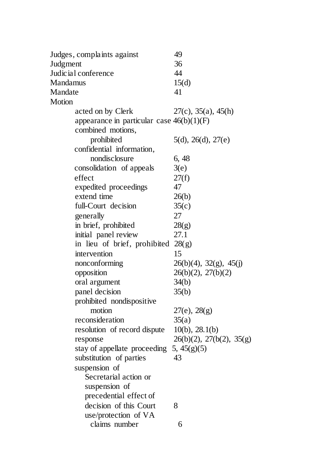| Judges, complaints against                  | 49                             |
|---------------------------------------------|--------------------------------|
| Judgment                                    | 36                             |
| Judicial conference                         | 44                             |
| Mandamus                                    | 15(d)                          |
| Mandate                                     | 41                             |
| Motion                                      |                                |
| acted on by Clerk                           | $27(c)$ , $35(a)$ , $45(h)$    |
| appearance in particular case $46(b)(1)(F)$ |                                |
| combined motions,                           |                                |
| prohibited                                  | 5(d), 26(d), 27(e)             |
| confidential information,                   |                                |
| nondisclosure                               | 6, 48                          |
| consolidation of appeals                    | 3(e)                           |
| effect                                      | 27(f)                          |
| expedited proceedings                       | 47                             |
| extend time                                 | 26(b)                          |
| full-Court decision                         | 35(c)                          |
| generally                                   | 27                             |
| in brief, prohibited                        | 28(g)                          |
| initial panel review                        | 27.1                           |
| in lieu of brief, prohibited                | 28(g)                          |
| intervention                                | 15                             |
| nonconforming                               | $26(b)(4)$ , $32(g)$ , $45(j)$ |
| opposition                                  | 26(b)(2), 27(b)(2)             |
| oral argument                               | 34(b)                          |
| panel decision                              | 35(b)                          |
| prohibited nondispositive                   |                                |
| motion                                      | $27(e)$ , $28(g)$              |
| reconsideration                             | 35(a)                          |
| resolution of record dispute                | $10(b)$ , 28.1(b)              |
| response                                    | 26(b)(2), 27(b(2), 35(g))      |
| stay of appellate proceeding                | 5, 45(g)(5)                    |
| substitution of parties                     | 43                             |
| suspension of                               |                                |
| Secretarial action or                       |                                |
| suspension of                               |                                |
| precedential effect of                      |                                |
| decision of this Court                      | 8                              |
| use/protection of VA                        |                                |
| claims number                               | 6                              |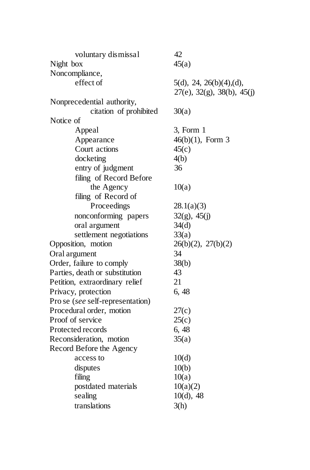| voluntary dismissal              | 42                                    |
|----------------------------------|---------------------------------------|
| Night box                        | 45(a)                                 |
| Noncompliance,                   |                                       |
| effect of                        | 5(d), 24, 26(b)(4), (d),              |
|                                  | $27(e)$ , $32(g)$ , $38(b)$ , $45(j)$ |
| Nonprecedential authority,       |                                       |
| citation of prohibited           | 30(a)                                 |
| Notice of                        |                                       |
| Appeal                           | 3, Form 1                             |
| Appearance                       | $46(b)(1)$ , Form 3                   |
| Court actions                    | 45(c)                                 |
| docketing                        | 4(b)                                  |
| entry of judgment                | 36                                    |
| filing of Record Before          |                                       |
| the Agency                       | 10(a)                                 |
| filing of Record of              |                                       |
| Proceedings                      | 28.1(a)(3)                            |
| nonconforming papers             | $32(g)$ , $45(j)$                     |
| oral argument                    | 34(d)                                 |
| settlement negotiations          | 33(a)                                 |
| Opposition, motion               | 26(b)(2), 27(b)(2)                    |
| Oral argument                    | 34                                    |
| Order, failure to comply         | 38(b)                                 |
| Parties, death or substitution   | 43                                    |
| Petition, extraordinary relief   | 21                                    |
| Privacy, protection              | 6, 48                                 |
| Pro se (see self-representation) |                                       |
| Procedural order, motion         | 27(c)                                 |
| Proof of service                 | 25(c)                                 |
| Protected records                | 6, 48                                 |
| Reconsideration, motion          | 35(a)                                 |
| Record Before the Agency         |                                       |
| access to                        | 10(d)                                 |
| disputes                         | 10(b)                                 |
| filing                           | 10(a)                                 |
| postdated materials              | 10(a)(2)                              |
| sealing                          | $10(d)$ , 48                          |
| translations                     | 3(h)                                  |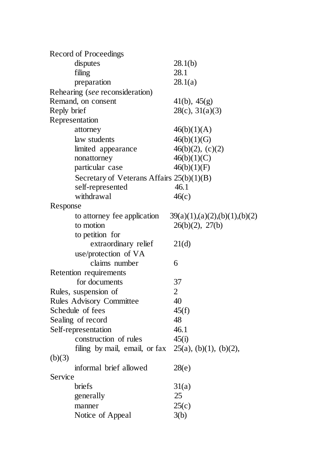|             | <b>Record of Proceedings</b>                |                               |
|-------------|---------------------------------------------|-------------------------------|
|             | disputes                                    | 28.1(b)                       |
|             | filing                                      | 28.1                          |
|             | preparation                                 | 28.1(a)                       |
|             | Rehearing (see reconsideration)             |                               |
|             | Remand, on consent                          | $41(b)$ , $45(g)$             |
| Reply brief |                                             | $28(c)$ , $31(a)(3)$          |
|             | Representation                              |                               |
|             | attorney                                    | 46(b)(1)(A)                   |
|             | law students                                | 46(b)(1)(G)                   |
|             | limited appearance                          | $46(b)(2)$ , (c)(2)           |
|             | nonattorney                                 | 46(b)(1)(C)                   |
|             | particular case                             | 46(b)(1)(F)                   |
|             | Secretary of Veterans Affairs $25(b)(1)(B)$ |                               |
|             | self-represented                            | 46.1                          |
|             | withdrawal                                  | 46(c)                         |
| Response    |                                             |                               |
|             | to attorney fee application                 | 39(a)(1),(a)(2),(b)(1),(b)(2) |
|             | to motion                                   | $26(b)(2)$ , $27(b)$          |
|             | to petition for                             |                               |
|             | extraordinary relief                        | 21(d)                         |
|             | use/protection of VA                        |                               |
|             | claims number                               | 6                             |
|             | Retention requirements                      |                               |
|             | for documents                               | 37                            |
|             | Rules, suspension of                        | $\overline{2}$                |
|             | <b>Rules Advisory Committee</b>             | 40                            |
|             | Schedule of fees                            | 45(f)                         |
|             | Sealing of record                           | 48                            |
|             | Self-representation                         | 46.1                          |
|             | construction of rules                       | 45(i)                         |
|             | filing by mail, email, or fax               | $25(a)$ , (b)(1), (b)(2),     |
| (b)(3)      |                                             |                               |
|             | informal brief allowed                      | 28(e)                         |
| Service     |                                             |                               |
|             | briefs                                      | 31(a)                         |
|             | generally                                   | 25                            |
|             | manner                                      | 25(c)                         |
|             | Notice of Appeal                            | 3(b)                          |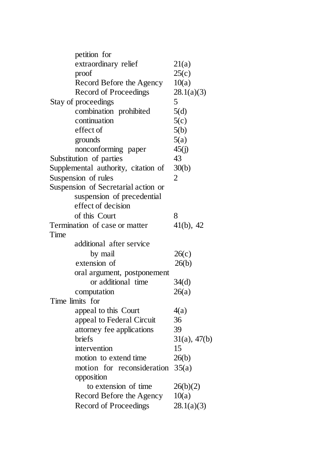|      | petition for                        |                   |
|------|-------------------------------------|-------------------|
|      | extraordinary relief                | 21(a)             |
|      | proof                               | 25(c)             |
|      | Record Before the Agency            | 10(a)             |
|      | <b>Record of Proceedings</b>        | 28.1(a)(3)        |
|      | Stay of proceedings                 | 5                 |
|      | combination prohibited              | 5(d)              |
|      | continuation                        | 5(c)              |
|      | effect of                           | 5(b)              |
|      | grounds                             | 5(a)              |
|      | nonconforming paper                 | 45(j)             |
|      | Substitution of parties             | 43                |
|      | Supplemental authority, citation of | 30(b)             |
|      | Suspension of rules                 | 2                 |
|      | Suspension of Secretarial action or |                   |
|      | suspension of precedential          |                   |
|      | effect of decision                  |                   |
|      | of this Court                       | 8                 |
|      | Termination of case or matter       | $41(b)$ , $42$    |
| Time |                                     |                   |
|      | additional after service            |                   |
|      | by mail                             | 26(c)             |
|      | extension of                        | 26(b)             |
|      | oral argument, postponement         |                   |
|      | or additional time                  | 34(d)             |
|      | computation                         | 26(a)             |
|      | Time limits for                     |                   |
|      | appeal to this Court                | 4(a)              |
|      | appeal to Federal Circuit           | 36                |
|      | attorney fee applications           | 39                |
|      | <b>briefs</b>                       | $31(a)$ , $47(b)$ |
|      | intervention                        | 15                |
|      | motion to extend time               | 26(b)             |
|      | motion for reconsideration $35(a)$  |                   |
|      | opposition                          |                   |
|      | to extension of time                | 26(b)(2)          |
|      | Record Before the Agency            | 10(a)             |
|      | <b>Record of Proceedings</b>        | 28.1(a)(3)        |
|      |                                     |                   |